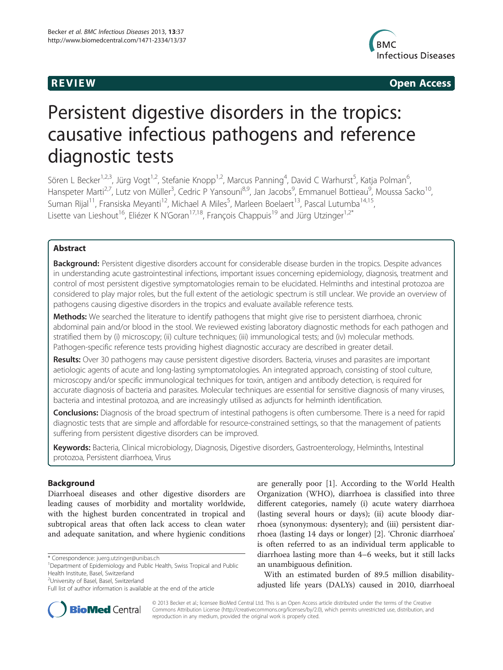

**REVIEW REVIEW CONSTRUCTER ACCESS** 

# Persistent digestive disorders in the tropics: causative infectious pathogens and reference diagnostic tests

Sören L Becker<sup>1,2,3</sup>, Jürg Vogt<sup>1,2</sup>, Stefanie Knopp<sup>1,2</sup>, Marcus Panning<sup>4</sup>, David C Warhurst<sup>5</sup>, Katja Polman<sup>6</sup> , Hanspeter Marti<sup>2,7</sup>, Lutz von Müller<sup>3</sup>, Cedric P Yansouni<sup>8,9</sup>, Jan Jacobs<sup>9</sup>, Emmanuel Bottieau<sup>9</sup>, Moussa Sacko<sup>10</sup>, Suman Rijal<sup>11</sup>, Fransiska Meyanti<sup>12</sup>, Michael A Miles<sup>5</sup>, Marleen Boelaert<sup>13</sup>, Pascal Lutumba<sup>14,15</sup>, Lisette van Lieshout<sup>16</sup>, Eliézer K N'Goran<sup>17,18</sup>, François Chappuis<sup>19</sup> and Jürg Utzinger<sup>1,2\*</sup>

# Abstract

Background: Persistent digestive disorders account for considerable disease burden in the tropics. Despite advances in understanding acute gastrointestinal infections, important issues concerning epidemiology, diagnosis, treatment and control of most persistent digestive symptomatologies remain to be elucidated. Helminths and intestinal protozoa are considered to play major roles, but the full extent of the aetiologic spectrum is still unclear. We provide an overview of pathogens causing digestive disorders in the tropics and evaluate available reference tests.

Methods: We searched the literature to identify pathogens that might give rise to persistent diarrhoea, chronic abdominal pain and/or blood in the stool. We reviewed existing laboratory diagnostic methods for each pathogen and stratified them by (i) microscopy; (ii) culture techniques; (iii) immunological tests; and (iv) molecular methods. Pathogen-specific reference tests providing highest diagnostic accuracy are described in greater detail.

Results: Over 30 pathogens may cause persistent digestive disorders. Bacteria, viruses and parasites are important aetiologic agents of acute and long-lasting symptomatologies. An integrated approach, consisting of stool culture, microscopy and/or specific immunological techniques for toxin, antigen and antibody detection, is required for accurate diagnosis of bacteria and parasites. Molecular techniques are essential for sensitive diagnosis of many viruses, bacteria and intestinal protozoa, and are increasingly utilised as adjuncts for helminth identification.

Conclusions: Diagnosis of the broad spectrum of intestinal pathogens is often cumbersome. There is a need for rapid diagnostic tests that are simple and affordable for resource-constrained settings, so that the management of patients suffering from persistent digestive disorders can be improved.

Keywords: Bacteria, Clinical microbiology, Diagnosis, Digestive disorders, Gastroenterology, Helminths, Intestinal protozoa, Persistent diarrhoea, Virus

# Background

Diarrhoeal diseases and other digestive disorders are leading causes of morbidity and mortality worldwide, with the highest burden concentrated in tropical and subtropical areas that often lack access to clean water and adequate sanitation, and where hygienic conditions

\* Correspondence: [juerg.utzinger@unibas.ch](mailto:juerg.utzinger@unibas.ch) <sup>1</sup>

<sup>2</sup>University of Basel, Basel, Switzerland

are generally poor [\[1\]](#page-16-0). According to the World Health Organization (WHO), diarrhoea is classified into three different categories, namely (i) acute watery diarrhoea (lasting several hours or days); (ii) acute bloody diarrhoea (synonymous: dysentery); and (iii) persistent diarrhoea (lasting 14 days or longer) [\[2](#page-16-0)]. 'Chronic diarrhoea' is often referred to as an individual term applicable to diarrhoea lasting more than 4–6 weeks, but it still lacks an unambiguous definition.

With an estimated burden of 89.5 million disabilityadjusted life years (DALYs) caused in 2010, diarrhoeal



© 2013 Becker et al.; licensee BioMed Central Ltd. This is an Open Access article distributed under the terms of the Creative Commons Attribution License [\(http://creativecommons.org/licenses/by/2.0\)](http://creativecommons.org/licenses/by/2.0), which permits unrestricted use, distribution, and reproduction in any medium, provided the original work is properly cited.

Department of Epidemiology and Public Health, Swiss Tropical and Public Health Institute, Basel, Switzerland

Full list of author information is available at the end of the article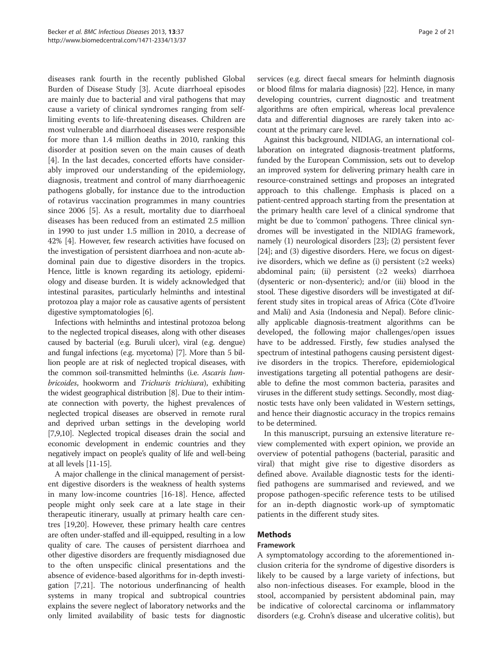diseases rank fourth in the recently published Global Burden of Disease Study [[3\]](#page-16-0). Acute diarrhoeal episodes are mainly due to bacterial and viral pathogens that may cause a variety of clinical syndromes ranging from selflimiting events to life-threatening diseases. Children are most vulnerable and diarrhoeal diseases were responsible for more than 1.4 million deaths in 2010, ranking this disorder at position seven on the main causes of death [[4\]](#page-16-0). In the last decades, concerted efforts have considerably improved our understanding of the epidemiology, diagnosis, treatment and control of many diarrhoeagenic pathogens globally, for instance due to the introduction of rotavirus vaccination programmes in many countries since 2006 [[5](#page-16-0)]. As a result, mortality due to diarrhoeal diseases has been reduced from an estimated 2.5 million in 1990 to just under 1.5 million in 2010, a decrease of 42% [[4\]](#page-16-0). However, few research activities have focused on the investigation of persistent diarrhoea and non-acute abdominal pain due to digestive disorders in the tropics. Hence, little is known regarding its aetiology, epidemiology and disease burden. It is widely acknowledged that intestinal parasites, particularly helminths and intestinal protozoa play a major role as causative agents of persistent digestive symptomatologies [[6](#page-16-0)].

Infections with helminths and intestinal protozoa belong to the neglected tropical diseases, along with other diseases caused by bacterial (e.g. Buruli ulcer), viral (e.g. dengue) and fungal infections (e.g. mycetoma) [\[7](#page-16-0)]. More than 5 billion people are at risk of neglected tropical diseases, with the common soil-transmitted helminths (i.e. Ascaris lumbricoides, hookworm and Trichuris trichiura), exhibiting the widest geographical distribution [[8](#page-16-0)]. Due to their intimate connection with poverty, the highest prevalences of neglected tropical diseases are observed in remote rural and deprived urban settings in the developing world [[7,9,10](#page-16-0)]. Neglected tropical diseases drain the social and economic development in endemic countries and they negatively impact on people's quality of life and well-being at all levels [\[11](#page-16-0)-[15](#page-16-0)].

A major challenge in the clinical management of persistent digestive disorders is the weakness of health systems in many low-income countries [[16-18\]](#page-16-0). Hence, affected people might only seek care at a late stage in their therapeutic itinerary, usually at primary health care centres [[19,20](#page-16-0)]. However, these primary health care centres are often under-staffed and ill-equipped, resulting in a low quality of care. The causes of persistent diarrhoea and other digestive disorders are frequently misdiagnosed due to the often unspecific clinical presentations and the absence of evidence-based algorithms for in-depth investigation [[7,](#page-16-0)[21](#page-17-0)]. The notorious underfinancing of health systems in many tropical and subtropical countries explains the severe neglect of laboratory networks and the only limited availability of basic tests for diagnostic services (e.g. direct faecal smears for helminth diagnosis or blood films for malaria diagnosis) [\[22\]](#page-17-0). Hence, in many developing countries, current diagnostic and treatment algorithms are often empirical, whereas local prevalence data and differential diagnoses are rarely taken into account at the primary care level.

Against this background, NIDIAG, an international collaboration on integrated diagnosis-treatment platforms, funded by the European Commission, sets out to develop an improved system for delivering primary health care in resource-constrained settings and proposes an integrated approach to this challenge. Emphasis is placed on a patient-centred approach starting from the presentation at the primary health care level of a clinical syndrome that might be due to 'common' pathogens. Three clinical syndromes will be investigated in the NIDIAG framework, namely (1) neurological disorders [\[23](#page-17-0)]; (2) persistent fever [[24](#page-17-0)]; and (3) digestive disorders. Here, we focus on digestive disorders, which we define as (i) persistent  $(\geq 2$  weeks) abdominal pain; (ii) persistent (≥2 weeks) diarrhoea (dysenteric or non-dysenteric); and/or (iii) blood in the stool. These digestive disorders will be investigated at different study sites in tropical areas of Africa (Côte d'Ivoire and Mali) and Asia (Indonesia and Nepal). Before clinically applicable diagnosis-treatment algorithms can be developed, the following major challenges/open issues have to be addressed. Firstly, few studies analysed the spectrum of intestinal pathogens causing persistent digestive disorders in the tropics. Therefore, epidemiological investigations targeting all potential pathogens are desirable to define the most common bacteria, parasites and viruses in the different study settings. Secondly, most diagnostic tests have only been validated in Western settings, and hence their diagnostic accuracy in the tropics remains to be determined.

In this manuscript, pursuing an extensive literature review complemented with expert opinion, we provide an overview of potential pathogens (bacterial, parasitic and viral) that might give rise to digestive disorders as defined above. Available diagnostic tests for the identified pathogens are summarised and reviewed, and we propose pathogen-specific reference tests to be utilised for an in-depth diagnostic work-up of symptomatic patients in the different study sites.

# Methods

# Framework

A symptomatology according to the aforementioned inclusion criteria for the syndrome of digestive disorders is likely to be caused by a large variety of infections, but also non-infectious diseases. For example, blood in the stool, accompanied by persistent abdominal pain, may be indicative of colorectal carcinoma or inflammatory disorders (e.g. Crohn's disease and ulcerative colitis), but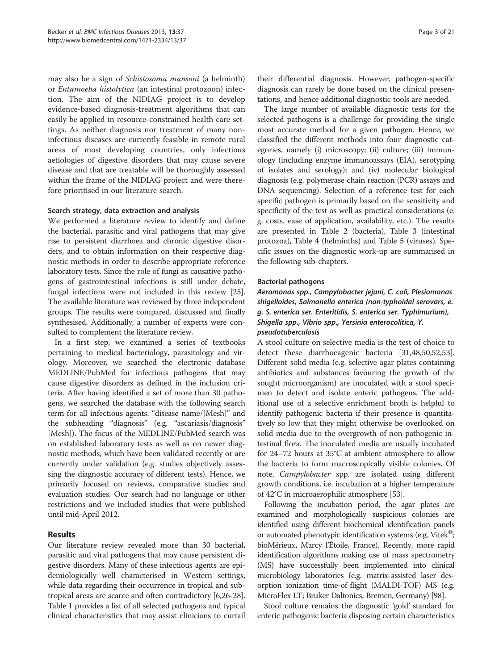may also be a sign of Schistosoma mansoni (a helminth) or Entamoeba histolytica (an intestinal protozoon) infection. The aim of the NIDIAG project is to develop evidence-based diagnosis-treatment algorithms that can easily be applied in resource-constrained health care settings. As neither diagnosis nor treatment of many noninfectious diseases are currently feasible in remote rural areas of most developing countries, only infectious aetiologies of digestive disorders that may cause severe disease and that are treatable will be thoroughly assessed within the frame of the NIDIAG project and were therefore prioritised in our literature search.

# Search strategy, data extraction and analysis

We performed a literature review to identify and define the bacterial, parasitic and viral pathogens that may give rise to persistent diarrhoea and chronic digestive disorders, and to obtain information on their respective diagnostic methods in order to describe appropriate reference laboratory tests. Since the role of fungi as causative pathogens of gastrointestinal infections is still under debate, fungal infections were not included in this review [[25](#page-17-0)]. The available literature was reviewed by three independent groups. The results were compared, discussed and finally synthesised. Additionally, a number of experts were consulted to complement the literature review.

In a first step, we examined a series of textbooks pertaining to medical bacteriology, parasitology and virology. Moreover, we searched the electronic database MEDLINE/PubMed for infectious pathogens that may cause digestive disorders as defined in the inclusion criteria. After having identified a set of more than 30 pathogens, we searched the database with the following search term for all infectious agents: "disease name/[Mesh]" and the subheading "diagnosis" (e.g. "ascariasis/diagnosis" [Mesh]). The focus of the MEDLINE/PubMed search was on established laboratory tests as well as on newer diagnostic methods, which have been validated recently or are currently under validation (e.g. studies objectively assessing the diagnostic accuracy of different tests). Hence, we primarily focused on reviews, comparative studies and evaluation studies. Our search had no language or other restrictions and we included studies that were published until mid-April 2012.

# Results

Our literature review revealed more than 30 bacterial, parasitic and viral pathogens that may cause persistent digestive disorders. Many of these infectious agents are epidemiologically well characterised in Western settings, while data regarding their occurrence in tropical and subtropical areas are scarce and often contradictory [[6,](#page-16-0)[26](#page-17-0)-[28](#page-17-0)]. Table [1](#page-3-0) provides a list of all selected pathogens and typical clinical characteristics that may assist clinicians to curtail their differential diagnosis. However, pathogen-specific diagnosis can rarely be done based on the clinical presentations, and hence additional diagnostic tools are needed.

The large number of available diagnostic tests for the selected pathogens is a challenge for providing the single most accurate method for a given pathogen. Hence, we classified the different methods into four diagnostic categories, namely (i) microscopy; (ii) culture; (iii) immunology (including enzyme immunoassays (EIA), serotyping of isolates and serology); and (iv) molecular biological diagnosis (e.g. polymerase chain reaction (PCR) assays and DNA sequencing). Selection of a reference test for each specific pathogen is primarily based on the sensitivity and specificity of the test as well as practical considerations (e. g. costs, ease of application, availability, etc.). The results are presented in Table [2](#page-5-0) (bacteria), Table [3](#page-7-0) (intestinal protozoa), Table [4](#page-9-0) (helminths) and Table [5](#page-11-0) (viruses). Specific issues on the diagnostic work-up are summarised in the following sub-chapters.

#### Bacterial pathogens

Aeromonas spp., Campylobacter jejuni, C. coli, Plesiomonas shigelloides, Salmonella enterica (non-typhoidal serovars, e. g. S. enterica ser. Enteritidis, S. enterica ser. Typhimurium), Shigella spp., Vibrio spp., Yersinia enterocolitica, Y. pseudotuberculosis

A stool culture on selective media is the test of choice to detect these diarrhoeagenic bacteria [[31](#page-17-0),[48](#page-17-0),[50,52,53](#page-17-0)]. Different solid media (e.g. selective agar plates containing antibiotics and substances favouring the growth of the sought microorganism) are inoculated with a stool specimen to detect and isolate enteric pathogens. The additional use of a selective enrichment broth is helpful to identify pathogenic bacteria if their presence is quantitatively so low that they might otherwise be overlooked on solid media due to the overgrowth of non-pathogenic intestinal flora. The inoculated media are usually incubated for 24–72 hours at 35°C at ambient atmosphere to allow the bacteria to form macroscopically visible colonies. Of note, Campylobacter spp. are isolated using different growth conditions, i.e. incubation at a higher temperature of 42°C in microaerophilic atmosphere [[53](#page-17-0)].

Following the incubation period, the agar plates are examined and morphologically suspicious colonies are identified using different biochemical identification panels or automated phenotypic identification systems (e.g. Vitek®; bioMérieux, Marcy l'Étoile, France). Recently, more rapid identification algorithms making use of mass spectrometry (MS) have successfully been implemented into clinical microbiology laboratories (e.g. matrix-assisted laser desorption ionization time-of-flight (MALDI-TOF) MS (e.g. MicroFlex LT; Bruker Daltonics, Bremen, Germany) [[98](#page-18-0)].

Stool culture remains the diagnostic 'gold' standard for enteric pathogenic bacteria disposing certain characteristics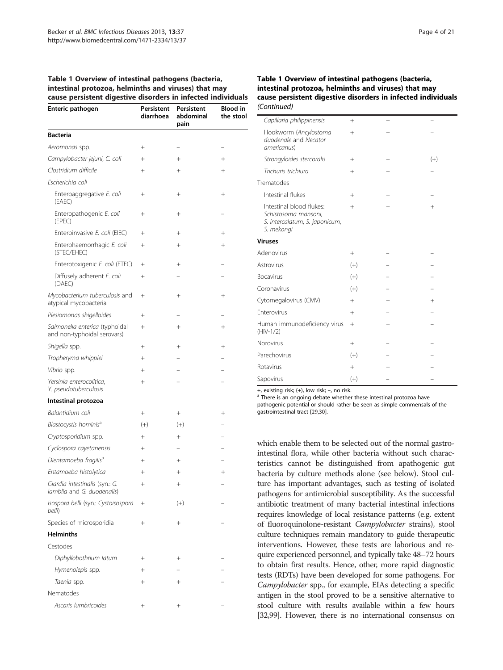#### <span id="page-3-0"></span>Table 1 Overview of intestinal pathogens (bacteria, intestinal protozoa, helminths and viruses) that may cause persistent digestive disorders in infected individuals

| p<br><sub>2</sub><br>Enteric pathogen                         | Persistent<br>diarrhoea | Persistent<br>abdominal<br>pain | Blood in<br>the stool |
|---------------------------------------------------------------|-------------------------|---------------------------------|-----------------------|
| <b>Bacteria</b>                                               |                         |                                 |                       |
| Aeromonas spp.                                                | $\! + \!\!\!\!$         |                                 |                       |
| Campylobacter jejuni, C. coli                                 | $^{+}$                  | $+$                             | $+$                   |
| Clostridium difficile                                         | $+$                     | $+$                             | $+$                   |
| Escherichia coli                                              |                         |                                 |                       |
| Enteroaggregative E. coli<br>(EAEC)                           | $^{+}$                  | $^{+}$                          | $^{+}$                |
| Enteropathogenic E. coli<br>(EPEC)                            | $+$                     | $^{+}$                          |                       |
| Enteroinvasive E. coli (EIEC)                                 | $\! + \!\!\!\!$         | $^{+}$                          | $^{+}$                |
| Enterohaemorrhagic E. coli<br>(STEC/EHEC)                     | $^{+}$                  | $+$                             | $+$                   |
| Enterotoxigenic E. coli (ETEC)                                | $+$                     | $^{+}$                          |                       |
| Diffusely adherent E. coli<br>(DAEC)                          | $+$                     |                                 |                       |
| Mycobacterium tuberculosis and<br>atypical mycobacteria       | $^{+}$                  | $^{+}$                          | $+$                   |
| Plesiomonas shigelloides                                      | $+$                     |                                 |                       |
| Salmonella enterica (typhoidal<br>and non-typhoidal serovars) | $+$                     | $^{+}$                          | $^{+}$                |
| Shigella spp.                                                 | $+$                     | $+$                             | $+$                   |
| Tropheryma whipplei                                           | $+$                     |                                 |                       |
| Vibrio spp.                                                   | $+$                     |                                 |                       |
| Yersinia enterocolitica,<br>Y. pseudotuberculosis             | $^{+}$                  |                                 |                       |
| Intestinal protozoa                                           |                         |                                 |                       |
| Balantidium coli                                              | $\! + \!\!\!\!$         | $^{+}$                          | $^{+}$                |
| Blastocystis hominis <sup>a</sup>                             | $(+)$                   | $(+)$                           |                       |
| Cryptosporidium spp.                                          | $^{+}$                  | $^{+}$                          |                       |
| Cyclospora cayetanensis                                       | $+$                     |                                 |                       |
| Dientamoeba fragilis <sup>a</sup>                             | $^{+}$                  | $+$                             |                       |
| Entamoeba histolytica                                         | $^{+}$                  | $^{+}$                          | $^{+}$                |
| Giardia intestinalis (syn.: G.<br>lamblia and G. duodenalis)  | $^{+}$                  | $^{+}$                          |                       |
| Isospora belli (syn.: Cystoisospora<br>belli)                 | $+$                     | $(+)$                           |                       |
| Species of microsporidia                                      | $^{+}$                  | $^{+}$                          |                       |
| <b>Helminths</b>                                              |                         |                                 |                       |
| Cestodes                                                      |                         |                                 |                       |
| Diphyllobothrium latum                                        | $^{+}$                  | $^{+}$                          |                       |
| Hymenolepis spp.                                              | $^{+}$                  |                                 |                       |
| Taenia spp.                                                   | $^{+}$                  | $+$                             |                       |
| Nematodes                                                     |                         |                                 |                       |
| Ascaris lumbricoides                                          | $^+$                    | $^+$                            |                       |

# Table 1 Overview of intestinal pathogens (bacteria, intestinal protozoa, helminths and viruses) that may cause persistent digestive disorders in infected individuals (Continued)

| Capillaria philippinensis                                                                        | $+$    | $+$    |        |
|--------------------------------------------------------------------------------------------------|--------|--------|--------|
| Hookworm (Ancylostoma<br>duodenale and Necator<br>americanus)                                    | $^{+}$ | $^{+}$ |        |
| Strongyloides stercoralis                                                                        | $^{+}$ | $^{+}$ | $(+)$  |
| Trichuris trichiura                                                                              | $^{+}$ | $^{+}$ |        |
| Trematodes                                                                                       |        |        |        |
| Intestinal flukes                                                                                | $^{+}$ | $^{+}$ |        |
| Intestinal blood flukes:<br>Schistosoma mansoni,<br>S. intercalatum, S. japonicum,<br>S. mekongi | $^{+}$ | $\pm$  | $^{+}$ |
| <b>Viruses</b>                                                                                   |        |        |        |
| Adenovirus                                                                                       | $+$    |        |        |
| Astrovirus                                                                                       | $(+)$  |        |        |
| <b>Bocavirus</b>                                                                                 | $(+)$  |        |        |
| Coronavirus                                                                                      | $(+)$  |        |        |
| Cytomegalovirus (CMV)                                                                            | $^{+}$ | $^{+}$ | $^{+}$ |
| Enterovirus                                                                                      | $^{+}$ |        |        |
| Human immunodeficiency virus<br>$(HIV-1/2)$                                                      | $+$    | $^{+}$ |        |
| <b>Norovirus</b>                                                                                 | $^{+}$ |        |        |
| Parechovirus                                                                                     | $(+)$  |        |        |
| Rotavirus                                                                                        | $^{+}$ | $^{+}$ |        |
| Sapovirus                                                                                        | $(+)$  |        |        |

+, existing risk; (+), low risk; -, no risk.<br><sup>a</sup> There is an ongoing debate whether these intestinal protozoa have pathogenic potential or should rather be seen as simple commensals of the gastrointestinal tract [29,[30\]](#page-17-0).

which enable them to be selected out of the normal gastrointestinal flora, while other bacteria without such characteristics cannot be distinguished from apathogenic gut bacteria by culture methods alone (see below). Stool culture has important advantages, such as testing of isolated pathogens for antimicrobial susceptibility. As the successful antibiotic treatment of many bacterial intestinal infections requires knowledge of local resistance patterns (e.g. extent of fluoroquinolone-resistant Campylobacter strains), stool culture techniques remain mandatory to guide therapeutic interventions. However, these tests are laborious and require experienced personnel, and typically take 48–72 hours to obtain first results. Hence, other, more rapid diagnostic tests (RDTs) have been developed for some pathogens. For Campylobacter spp., for example, EIAs detecting a specific antigen in the stool proved to be a sensitive alternative to stool culture with results available within a few hours [[32](#page-17-0)[,99](#page-18-0)]. However, there is no international consensus on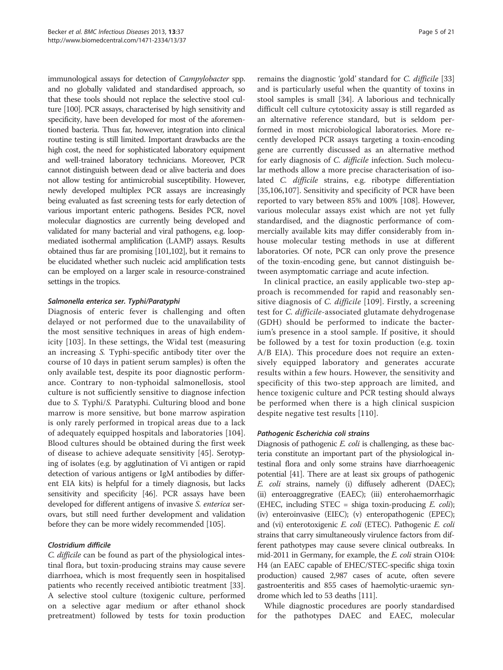immunological assays for detection of Campylobacter spp. and no globally validated and standardised approach, so that these tools should not replace the selective stool culture [\[100](#page-18-0)]. PCR assays, characterised by high sensitivity and specificity, have been developed for most of the aforementioned bacteria. Thus far, however, integration into clinical routine testing is still limited. Important drawbacks are the high cost, the need for sophisticated laboratory equipment and well-trained laboratory technicians. Moreover, PCR cannot distinguish between dead or alive bacteria and does not allow testing for antimicrobial susceptibility. However, newly developed multiplex PCR assays are increasingly being evaluated as fast screening tests for early detection of various important enteric pathogens. Besides PCR, novel molecular diagnostics are currently being developed and validated for many bacterial and viral pathogens, e.g. loopmediated isothermal amplification (LAMP) assays. Results obtained thus far are promising [\[101,102\]](#page-18-0), but it remains to be elucidated whether such nucleic acid amplification tests can be employed on a larger scale in resource-constrained settings in the tropics.

# Salmonella enterica ser. Typhi/Paratyphi

Diagnosis of enteric fever is challenging and often delayed or not performed due to the unavailability of the most sensitive techniques in areas of high endemicity [[103](#page-18-0)]. In these settings, the Widal test (measuring an increasing S. Typhi-specific antibody titer over the course of 10 days in patient serum samples) is often the only available test, despite its poor diagnostic performance. Contrary to non-typhoidal salmonellosis, stool culture is not sufficiently sensitive to diagnose infection due to S. Typhi/S. Paratyphi. Culturing blood and bone marrow is more sensitive, but bone marrow aspiration is only rarely performed in tropical areas due to a lack of adequately equipped hospitals and laboratories [\[104](#page-18-0)]. Blood cultures should be obtained during the first week of disease to achieve adequate sensitivity [\[45](#page-17-0)]. Serotyping of isolates (e.g. by agglutination of Vi antigen or rapid detection of various antigens or IgM antibodies by different EIA kits) is helpful for a timely diagnosis, but lacks sensitivity and specificity [[46](#page-17-0)]. PCR assays have been developed for different antigens of invasive S. enterica serovars, but still need further development and validation before they can be more widely recommended [\[105\]](#page-18-0).

# Clostridium difficile

C. difficile can be found as part of the physiological intestinal flora, but toxin-producing strains may cause severe diarrhoea, which is most frequently seen in hospitalised patients who recently received antibiotic treatment [\[33](#page-17-0)]. A selective stool culture (toxigenic culture, performed on a selective agar medium or after ethanol shock pretreatment) followed by tests for toxin production

remains the diagnostic 'gold' standard for C. difficile [[33](#page-17-0)] and is particularly useful when the quantity of toxins in stool samples is small [[34\]](#page-17-0). A laborious and technically difficult cell culture cytotoxicity assay is still regarded as an alternative reference standard, but is seldom performed in most microbiological laboratories. More recently developed PCR assays targeting a toxin-encoding gene are currently discussed as an alternative method for early diagnosis of C. difficile infection. Such molecular methods allow a more precise characterisation of isolated C. difficile strains, e.g. ribotype differentiation [[35,](#page-17-0)[106,107](#page-18-0)]. Sensitivity and specificity of PCR have been reported to vary between 85% and 100% [\[108\]](#page-18-0). However, various molecular assays exist which are not yet fully standardised, and the diagnostic performance of commercially available kits may differ considerably from inhouse molecular testing methods in use at different laboratories. Of note, PCR can only prove the presence of the toxin-encoding gene, but cannot distinguish between asymptomatic carriage and acute infection.

In clinical practice, an easily applicable two-step approach is recommended for rapid and reasonably sen-sitive diagnosis of C. difficile [[109](#page-18-0)]. Firstly, a screening test for *C. difficile-associated glutamate dehydrogenase* (GDH) should be performed to indicate the bacterium's presence in a stool sample. If positive, it should be followed by a test for toxin production (e.g. toxin A/B EIA). This procedure does not require an extensively equipped laboratory and generates accurate results within a few hours. However, the sensitivity and specificity of this two-step approach are limited, and hence toxigenic culture and PCR testing should always be performed when there is a high clinical suspicion despite negative test results [\[110](#page-18-0)].

# Pathogenic Escherichia coli strains

Diagnosis of pathogenic *E. coli* is challenging, as these bacteria constitute an important part of the physiological intestinal flora and only some strains have diarrhoeagenic potential [\[41](#page-17-0)]. There are at least six groups of pathogenic E. coli strains, namely (i) diffusely adherent (DAEC); (ii) enteroaggregrative (EAEC); (iii) enterohaemorrhagic (EHEC, including STEC = shiga toxin-producing  $E$ . coli); (iv) enteroinvasive (EIEC); (v) enteropathogenic (EPEC); and (vi) enterotoxigenic E. coli (ETEC). Pathogenic E. coli strains that carry simultaneously virulence factors from different pathotypes may cause severe clinical outbreaks. In mid-2011 in Germany, for example, the E. coli strain O104: H4 (an EAEC capable of EHEC/STEC-specific shiga toxin production) caused 2,987 cases of acute, often severe gastroenteritis and 855 cases of haemolytic-uraemic syndrome which led to 53 deaths [[111\]](#page-18-0).

While diagnostic procedures are poorly standardised for the pathotypes DAEC and EAEC, molecular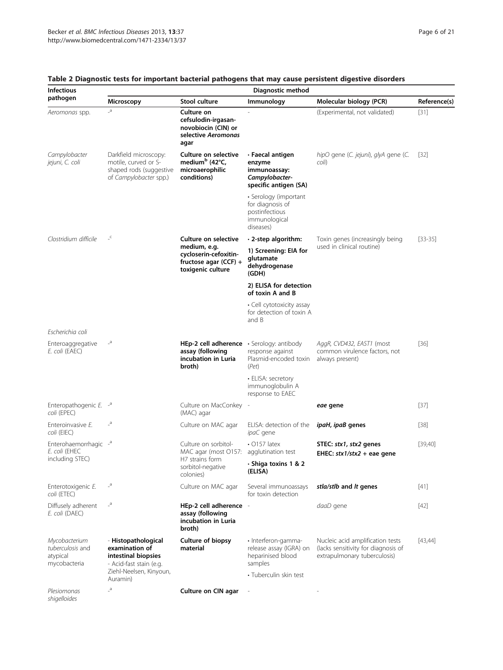| <b>Infectious</b>                                             | rapie z plagnostie tests for important pacterial pathogens that may cause persistent algestrie alsoraer:<br>Diagnostic method  |                                                                                         |                                                                                                          |                                                                                                         |              |  |  |  |
|---------------------------------------------------------------|--------------------------------------------------------------------------------------------------------------------------------|-----------------------------------------------------------------------------------------|----------------------------------------------------------------------------------------------------------|---------------------------------------------------------------------------------------------------------|--------------|--|--|--|
| pathogen                                                      | Microscopy                                                                                                                     | Stool culture                                                                           | Immunology                                                                                               | Molecular biology (PCR)                                                                                 | Reference(s) |  |  |  |
| Aeromonas spp.                                                | $\overline{a}$                                                                                                                 | Culture on<br>cefsulodin-irgasan-<br>novobiocin (CIN) or<br>selective Aeromonas<br>agar |                                                                                                          | (Experimental, not validated)                                                                           | $[31]$       |  |  |  |
| Campylobacter<br>jejuni, C. coli                              | Darkfield microscopy:<br>motile, curved or S-<br>shaped rods (suggestive<br>of Campylobacter spp.)                             | Culture on selective<br>medium <sup>b</sup> (42°C,<br>microaerophilic<br>conditions)    | • Faecal antigen<br>enzyme<br>immunoassay:<br>Campylobacter-<br>specific antigen (SA)                    | hipO gene (C. jejuni), glyA gene (C.<br>coli)                                                           | $[32]$       |  |  |  |
|                                                               |                                                                                                                                |                                                                                         | • Serology (important<br>for diagnosis of<br>postinfectious<br>immunological<br>diseases)                |                                                                                                         |              |  |  |  |
| Clostridium difficile                                         | $\overline{\phantom{a}}^{\phantom{a}}$                                                                                         | Culture on selective                                                                    | $\cdot$ 2-step algorithm:                                                                                | Toxin genes (increasingly being                                                                         | $[33-35]$    |  |  |  |
|                                                               |                                                                                                                                | medium, e.g.<br>cycloserin-cefoxitin-<br>fructose agar (CCF) +<br>toxigenic culture     | 1) Screening: EIA for<br>glutamate<br>dehydrogenase<br>(GDH)                                             | used in clinical routine)                                                                               |              |  |  |  |
|                                                               |                                                                                                                                |                                                                                         | 2) ELISA for detection<br>of toxin A and B                                                               |                                                                                                         |              |  |  |  |
|                                                               |                                                                                                                                |                                                                                         | • Cell cytotoxicity assay<br>for detection of toxin A<br>and B                                           |                                                                                                         |              |  |  |  |
| Escherichia coli                                              |                                                                                                                                |                                                                                         |                                                                                                          |                                                                                                         |              |  |  |  |
| Enteroaggregative<br>E. coli (EAEC)                           | a                                                                                                                              | HEp-2 cell adherence<br>assay (following<br>incubation in Luria<br>broth)               | • Serology: antibody<br>response against<br>Plasmid-encoded toxin<br>(Pet)                               | AggR, CVD432, EAST1 (most<br>common virulence factors, not<br>always present)                           | $[36]$       |  |  |  |
|                                                               |                                                                                                                                |                                                                                         | • ELISA: secretory<br>immunoglobulin A<br>response to EAEC                                               |                                                                                                         |              |  |  |  |
| Enteropathogenic $E = -a$<br>coli (EPEC)                      |                                                                                                                                | Culture on MacConkey -<br>(MAC) agar                                                    |                                                                                                          | eae gene                                                                                                | [37]         |  |  |  |
| Enteroinvasive E.<br>coli (EIEC)                              | a                                                                                                                              | Culture on MAC agar                                                                     | ELISA: detection of the<br>ipaC gene                                                                     | ipaH, ipaB genes                                                                                        | $[38]$       |  |  |  |
| Enterohaemorrhagic - <sup>a</sup><br>E. coli (EHEC            |                                                                                                                                | Culture on sorbitol-<br>MAC agar (most O157:                                            | $\cdot$ O157 latex<br>agglutination test                                                                 | STEC: stx1, stx2 genes<br>EHEC: $stx1/stx2 + eae$ gene                                                  | [39,40]      |  |  |  |
| including STEC)                                               |                                                                                                                                | H7 strains form<br>sorbitol-negative<br>colonies)                                       | · Shiga toxins 1 & 2<br>(ELISA)                                                                          |                                                                                                         |              |  |  |  |
| Enterotoxigenic E.<br>coli (ETEC)                             | $-$ a                                                                                                                          | Culture on MAC agar                                                                     | Several immunoassays<br>for toxin detection                                                              | stla/stlb and It genes                                                                                  | $[41]$       |  |  |  |
| Diffusely adherent<br>E. coli (DAEC)                          | $\overline{a}$                                                                                                                 | HEp-2 cell adherence -<br>assay (following<br>incubation in Luria<br>broth)             |                                                                                                          | daaD gene                                                                                               | $[42]$       |  |  |  |
| Mycobacterium<br>tuberculosis and<br>atypical<br>mycobacteria | - Histopathological<br>examination of<br>intestinal biopsies<br>- Acid-fast stain (e.g.<br>Ziehl-Neelsen, Kinyoun,<br>Auramin) | Culture of biopsy<br>material                                                           | · Interferon-gamma-<br>release assay (IGRA) on<br>heparinised blood<br>samples<br>· Tuberculin skin test | Nucleic acid amplification tests<br>(lacks sensitivity for diagnosis of<br>extrapulmonary tuberculosis) | [43, 44]     |  |  |  |
| Plesiomonas<br>shigelloides                                   | $a_{-}$                                                                                                                        | Culture on CIN agar                                                                     |                                                                                                          |                                                                                                         |              |  |  |  |

# <span id="page-5-0"></span>Table 2 Diagnostic tests for important bacterial pathogens that may cause persistent digestive disorders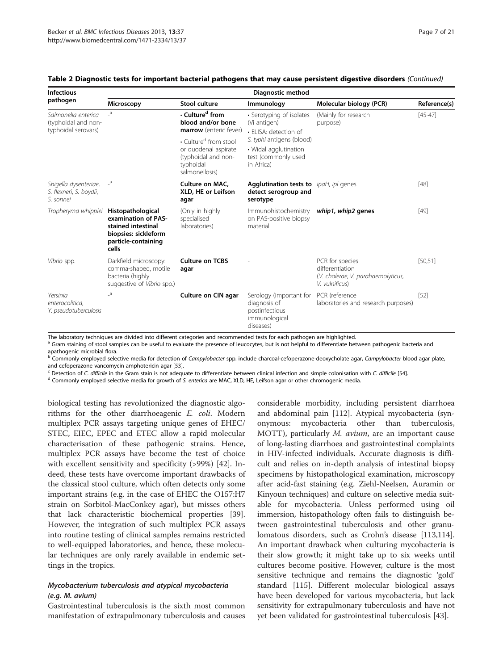| <b>Infectious</b>                                                 | Diagnostic method                                                                                 |                                                                                                                 |                                                                                         |                                                                                            |              |  |  |
|-------------------------------------------------------------------|---------------------------------------------------------------------------------------------------|-----------------------------------------------------------------------------------------------------------------|-----------------------------------------------------------------------------------------|--------------------------------------------------------------------------------------------|--------------|--|--|
| pathogen                                                          | Microscopy                                                                                        | <b>Stool culture</b>                                                                                            | Immunology                                                                              | Molecular biology (PCR)                                                                    | Reference(s) |  |  |
| Salmonella enterica<br>(typhoidal and non-<br>typhoidal serovars) | $a_{-}$                                                                                           | $\cdot$ Culture <sup>d</sup> from<br>blood and/or bone<br><b>marrow</b> (enteric fever)                         | • Serotyping of isolates<br>(Vi antigen)<br>· ELISA: detection of                       | (Mainly for research<br>purpose)                                                           | $[45 - 47]$  |  |  |
|                                                                   |                                                                                                   | • Culture <sup>d</sup> from stool<br>or duodenal aspirate<br>(typhoidal and non-<br>typhoidal<br>salmonellosis) | S. typhi antigens (blood)<br>• Widal agglutination<br>test (commonly used<br>in Africa) |                                                                                            |              |  |  |
| Shigella dysenteriae,<br>S. flexneri, S. boydii,<br>S. sonnei     | $-$ a                                                                                             | Culture on MAC,<br>XLD, HE or Leifson<br>agar                                                                   | Agglutination tests to ipaH, ipl genes<br>detect serogroup and<br>serotype              |                                                                                            | $[48]$       |  |  |
| Tropheryma whipplei <b>Histopathological</b>                      | examination of PAS-<br>stained intestinal<br>biopsies: sickleform<br>particle-containing<br>cells | (Only in highly<br>specialised<br>laboratories)                                                                 | Immunohistochemistry<br>on PAS-positive biopsy<br>material                              | whip1, whip2 genes                                                                         | $[49]$       |  |  |
| Vibrio spp.                                                       | Darkfield microscopy:<br>comma-shaped, motile<br>bacteria (highly<br>suggestive of Vibrio spp.)   | <b>Culture on TCBS</b><br>agar                                                                                  |                                                                                         | PCR for species<br>differentiation<br>(V. cholerae, V. parahaemolyticus,<br>V. vulnificus) | [50, 51]     |  |  |
| Yersinia<br>enterocolitica.<br>Y. pseudotuberculosis              | $a_{-}$                                                                                           | <b>Culture on CIN agar</b>                                                                                      | Serology (important for<br>diagnosis of<br>postinfectious<br>immunological<br>diseases) | PCR (reference<br>laboratories and research purposes)                                      | $[52]$       |  |  |

# Table 2 Diagnostic tests for important bacterial pathogens that may cause persistent digestive disorders (Continued)

The laboratory techniques are divided into different categories and recommended tests for each pathogen are highlighted.

<sup>a</sup> Gram staining of stool samples can be useful to evaluate the presence of leucocytes, but is not helpful to differentiate between pathogenic bacteria and

apathogenic microbial flora.

b Commonly employed selective media for detection of Campylobacter spp. include charcoal-cefoperazone-deoxycholate agar, Campylobacter blood agar plate,

and cefoperazone-vancomycin-amphotericin agar [\[53](#page-17-0)].<br><sup>c</sup> Detection of C. difficile in the Gram stain is not adequate to differentiate between clinical infection and simple colonisation with C. difficile [[54](#page-17-0)].<br><sup>d</sup> Commonly

biological testing has revolutionized the diagnostic algorithms for the other diarrhoeagenic E. coli. Modern multiplex PCR assays targeting unique genes of EHEC/ STEC, EIEC, EPEC and ETEC allow a rapid molecular characterisation of these pathogenic strains. Hence, multiplex PCR assays have become the test of choice with excellent sensitivity and specificity (>99%) [[42](#page-17-0)]. Indeed, these tests have overcome important drawbacks of the classical stool culture, which often detects only some important strains (e.g. in the case of EHEC the O157:H7 strain on Sorbitol-MacConkey agar), but misses others that lack characteristic biochemical properties [\[39](#page-17-0)]. However, the integration of such multiplex PCR assays into routine testing of clinical samples remains restricted to well-equipped laboratories, and hence, these molecular techniques are only rarely available in endemic settings in the tropics.

# Mycobacterium tuberculosis and atypical mycobacteria (e.g. M. avium)

Gastrointestinal tuberculosis is the sixth most common manifestation of extrapulmonary tuberculosis and causes

considerable morbidity, including persistent diarrhoea and abdominal pain [[112\]](#page-18-0). Atypical mycobacteria (synonymous: mycobacteria other than tuberculosis, MOTT), particularly M. avium, are an important cause of long-lasting diarrhoea and gastrointestinal complaints in HIV-infected individuals. Accurate diagnosis is difficult and relies on in-depth analysis of intestinal biopsy specimens by histopathological examination, microscopy after acid-fast staining (e.g. Ziehl-Neelsen, Auramin or Kinyoun techniques) and culture on selective media suitable for mycobacteria. Unless performed using oil immersion, histopathology often fails to distinguish between gastrointestinal tuberculosis and other granulomatous disorders, such as Crohn's disease [[113](#page-18-0),[114](#page-18-0)]. An important drawback when culturing mycobacteria is their slow growth; it might take up to six weeks until cultures become positive. However, culture is the most sensitive technique and remains the diagnostic 'gold' standard [\[115\]](#page-19-0). Different molecular biological assays have been developed for various mycobacteria, but lack sensitivity for extrapulmonary tuberculosis and have not yet been validated for gastrointestinal tuberculosis [\[43](#page-17-0)].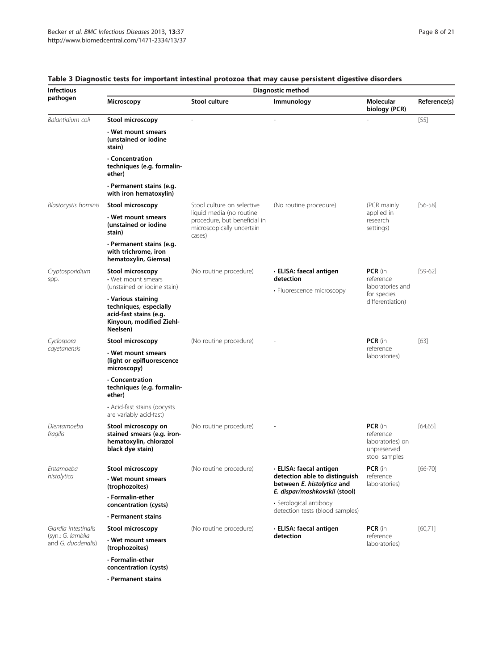| Infectious                              | Diagnostic method                                                                                              |                                                                                                 |                                                                                              |                                                                          |              |  |  |  |
|-----------------------------------------|----------------------------------------------------------------------------------------------------------------|-------------------------------------------------------------------------------------------------|----------------------------------------------------------------------------------------------|--------------------------------------------------------------------------|--------------|--|--|--|
| pathogen                                | Microscopy                                                                                                     | Stool culture                                                                                   | Immunology                                                                                   | <b>Molecular</b><br>biology (PCR)                                        | Reference(s) |  |  |  |
| Balantidium coli                        | Stool microscopy                                                                                               | $\overline{a}$                                                                                  | ÷,                                                                                           |                                                                          | $[55]$       |  |  |  |
|                                         | • Wet mount smears<br>(unstained or iodine<br>stain)                                                           |                                                                                                 |                                                                                              |                                                                          |              |  |  |  |
|                                         | • Concentration<br>techniques (e.g. formalin-<br>ether)                                                        |                                                                                                 |                                                                                              |                                                                          |              |  |  |  |
|                                         | · Permanent stains (e.g.<br>with iron hematoxylin)                                                             |                                                                                                 |                                                                                              |                                                                          |              |  |  |  |
| Blastocystis hominis                    | Stool microscopy                                                                                               | Stool culture on selective                                                                      | (No routine procedure)                                                                       | (PCR mainly                                                              | $[56 - 58]$  |  |  |  |
|                                         | • Wet mount smears<br>(unstained or iodine<br>stain)                                                           | liquid media (no routine<br>procedure, but beneficial in<br>microscopically uncertain<br>cases) |                                                                                              | applied in<br>research<br>settings)                                      |              |  |  |  |
|                                         | · Permanent stains (e.g.<br>with trichrome, iron<br>hematoxylin, Giemsa)                                       |                                                                                                 |                                                                                              |                                                                          |              |  |  |  |
| Cryptosporidium<br>spp.                 | Stool microscopy<br>• Wet mount smears<br>(unstained or iodine stain)                                          | (No routine procedure)                                                                          | · ELISA: faecal antigen<br>detection                                                         | PCR (in<br>reference<br>laboratories and                                 | $[59-62]$    |  |  |  |
|                                         | · Various staining<br>techniques, especially<br>acid-fast stains (e.g.<br>Kinyoun, modified Ziehl-<br>Neelsen) |                                                                                                 | • Fluorescence microscopy                                                                    | for species<br>differentiation)                                          |              |  |  |  |
| Cyclospora                              | Stool microscopy                                                                                               | (No routine procedure)                                                                          |                                                                                              | PCR (in                                                                  | [63]         |  |  |  |
| cayetanensis                            | • Wet mount smears<br>(light or epifluorescence<br>microscopy)                                                 |                                                                                                 |                                                                                              | reference<br>laboratories)                                               |              |  |  |  |
|                                         | • Concentration<br>techniques (e.g. formalin-<br>ether)                                                        |                                                                                                 |                                                                                              |                                                                          |              |  |  |  |
|                                         | • Acid-fast stains (oocysts<br>are variably acid-fast)                                                         |                                                                                                 |                                                                                              |                                                                          |              |  |  |  |
| Dientamoeba<br>fragilis                 | Stool microscopy on<br>stained smears (e.g. iron-<br>hematoxylin, chlorazol<br>black dye stain)                | (No routine procedure)                                                                          |                                                                                              | PCR (in<br>reference<br>laboratories) on<br>unpreserved<br>stool samples | [64, 65]     |  |  |  |
| Entamoeba                               | Stool microscopy                                                                                               | (No routine procedure)                                                                          | • ELISA: faecal antigen                                                                      | PCR (in                                                                  | $[66 - 70]$  |  |  |  |
| histolytica                             | · Wet mount smears<br>(trophozoites)                                                                           |                                                                                                 | detection able to distinguish<br>between E. histolytica and<br>E. dispar/moshkovskii (stool) | reference<br>laboratories)                                               |              |  |  |  |
|                                         | · Formalin-ether<br>concentration (cysts)                                                                      |                                                                                                 | · Serological antibody<br>detection tests (blood samples)                                    |                                                                          |              |  |  |  |
|                                         | · Permanent stains                                                                                             |                                                                                                 |                                                                                              |                                                                          |              |  |  |  |
| Giardia intestinalis                    | Stool microscopy                                                                                               | (No routine procedure)                                                                          | · ELISA: faecal antigen                                                                      | <b>PCR</b> (in                                                           | [60, 71]     |  |  |  |
| (syn.: G. lamblia<br>and G. duodenalis) | · Wet mount smears<br>(trophozoites)                                                                           |                                                                                                 | detection                                                                                    | reference<br>laboratories)                                               |              |  |  |  |
|                                         | • Formalin-ether<br>concentration (cysts)                                                                      |                                                                                                 |                                                                                              |                                                                          |              |  |  |  |
|                                         | · Permanent stains                                                                                             |                                                                                                 |                                                                                              |                                                                          |              |  |  |  |

# <span id="page-7-0"></span>Table 3 Diagnostic tests for important intestinal protozoa that may cause persistent digestive disorders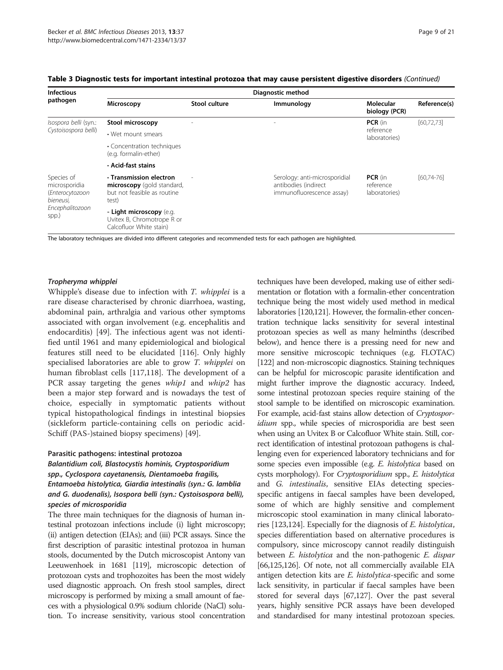| <b>Infectious</b><br>pathogen                                                           | Diagnostic method                                                                             |               |                                                                                    |                                       |                 |  |  |
|-----------------------------------------------------------------------------------------|-----------------------------------------------------------------------------------------------|---------------|------------------------------------------------------------------------------------|---------------------------------------|-----------------|--|--|
|                                                                                         | Microscopy                                                                                    | Stool culture | Immunology                                                                         | <b>Molecular</b><br>biology (PCR)     | Reference(s)    |  |  |
| Isospora belli (syn.:                                                                   | Stool microscopy                                                                              |               |                                                                                    | PCR (in                               | [60, 72, 73]    |  |  |
| Cystoisospora belli)                                                                    | • Wet mount smears                                                                            |               |                                                                                    | reference<br>laboratories)            |                 |  |  |
|                                                                                         | • Concentration techniques<br>(e.g. formalin-ether)                                           |               |                                                                                    |                                       |                 |  |  |
|                                                                                         | . Acid-fast stains                                                                            |               |                                                                                    |                                       |                 |  |  |
| Species of<br>microsporidia<br>(Enterocytozoon<br>bieneusi,<br>Encephalitozoon<br>spp.) | • Transmission electron<br>microscopy (gold standard,<br>but not feasible as routine<br>test) |               | Serology: anti-microsporidial<br>antibodies (indirect<br>immunofluorescence assay) | PCR (in<br>reference<br>laboratories) | $[60, 74 - 76]$ |  |  |
|                                                                                         | - Light microscopy (e.g.<br>Uvitex B, Chromotrope R or<br>Calcofluor White stain)             |               |                                                                                    |                                       |                 |  |  |

| Table 3 Diagnostic tests for important intestinal protozoa that may cause persistent digestive disorders (Continued) |  |  |  |
|----------------------------------------------------------------------------------------------------------------------|--|--|--|
|----------------------------------------------------------------------------------------------------------------------|--|--|--|

The laboratory techniques are divided into different categories and recommended tests for each pathogen are highlighted.

# Tropheryma whipplei

Whipple's disease due to infection with T. whipplei is a rare disease characterised by chronic diarrhoea, wasting, abdominal pain, arthralgia and various other symptoms associated with organ involvement (e.g. encephalitis and endocarditis) [\[49\]](#page-17-0). The infectious agent was not identified until 1961 and many epidemiological and biological features still need to be elucidated [[116](#page-19-0)]. Only highly specialised laboratories are able to grow T. whipplei on human fibroblast cells [[117,118](#page-19-0)]. The development of a PCR assay targeting the genes whip1 and whip2 has been a major step forward and is nowadays the test of choice, especially in symptomatic patients without typical histopathological findings in intestinal biopsies (sickleform particle-containing cells on periodic acid-Schiff (PAS-)stained biopsy specimens) [[49](#page-17-0)].

# Parasitic pathogens: intestinal protozoa

Balantidium coli, Blastocystis hominis, Cryptosporidium spp., Cyclospora cayetanensis, Dientamoeba fragilis, Entamoeba histolytica, Giardia intestinalis (syn.: G. lamblia and G. duodenalis), Isospora belli (syn.: Cystoisospora belli), species of microsporidia

The three main techniques for the diagnosis of human intestinal protozoan infections include (i) light microscopy; (ii) antigen detection (EIAs); and (iii) PCR assays. Since the first description of parasitic intestinal protozoa in human stools, documented by the Dutch microscopist Antony van Leeuwenhoek in 1681 [\[119](#page-19-0)], microscopic detection of protozoan cysts and trophozoites has been the most widely used diagnostic approach. On fresh stool samples, direct microscopy is performed by mixing a small amount of faeces with a physiological 0.9% sodium chloride (NaCl) solution. To increase sensitivity, various stool concentration

techniques have been developed, making use of either sedimentation or flotation with a formalin-ether concentration technique being the most widely used method in medical laboratories [\[120,121](#page-19-0)]. However, the formalin-ether concentration technique lacks sensitivity for several intestinal protozoan species as well as many helminths (described below), and hence there is a pressing need for new and more sensitive microscopic techniques (e.g. FLOTAC) [[122\]](#page-19-0) and non-microscopic diagnostics. Staining techniques can be helpful for microscopic parasite identification and might further improve the diagnostic accuracy. Indeed, some intestinal protozoan species require staining of the stool sample to be identified on microscopic examination. For example, acid-fast stains allow detection of Cryptosporidium spp., while species of microsporidia are best seen when using an Uvitex B or Calcofluor White stain. Still, correct identification of intestinal protozoan pathogens is challenging even for experienced laboratory technicians and for some species even impossible (e.g. E. histolytica based on cysts morphology). For Cryptosporidium spp., E. histolytica and G. intestinalis, sensitive EIAs detecting speciesspecific antigens in faecal samples have been developed, some of which are highly sensitive and complement microscopic stool examination in many clinical laboratories [[123,124\]](#page-19-0). Especially for the diagnosis of E. histolytica, species differentiation based on alternative procedures is compulsory, since microscopy cannot readily distinguish between *E. histolytica* and the non-pathogenic *E. dispar* [[66](#page-17-0),[125,126](#page-19-0)]. Of note, not all commercially available EIA antigen detection kits are *E. histolytica*-specific and some lack sensitivity, in particular if faecal samples have been stored for several days [[67,](#page-17-0)[127\]](#page-19-0). Over the past several years, highly sensitive PCR assays have been developed and standardised for many intestinal protozoan species.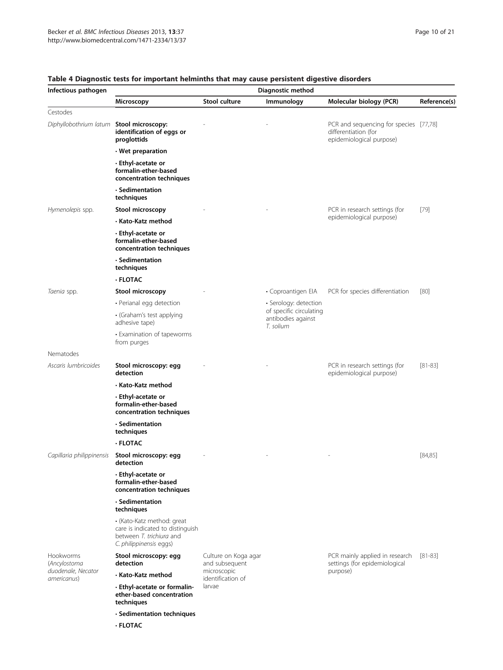| Infectious pathogen               | Diagnostic method                                                                                                     |                                        |                                                            |                                                                                            |              |  |  |
|-----------------------------------|-----------------------------------------------------------------------------------------------------------------------|----------------------------------------|------------------------------------------------------------|--------------------------------------------------------------------------------------------|--------------|--|--|
|                                   | <b>Microscopy</b>                                                                                                     | Stool culture                          | Immunology                                                 | Molecular biology (PCR)                                                                    | Reference(s) |  |  |
| Cestodes                          |                                                                                                                       |                                        |                                                            |                                                                                            |              |  |  |
| Diphyllobothrium latum            | Stool microscopy:<br>identification of eggs or<br>proglottids                                                         |                                        |                                                            | PCR and sequencing for species [77,78]<br>differentiation (for<br>epidemiological purpose) |              |  |  |
|                                   | • Wet preparation                                                                                                     |                                        |                                                            |                                                                                            |              |  |  |
|                                   | · Ethyl-acetate or<br>formalin-ether-based<br>concentration techniques                                                |                                        |                                                            |                                                                                            |              |  |  |
|                                   | · Sedimentation<br>techniques                                                                                         |                                        |                                                            |                                                                                            |              |  |  |
| Hymenolepis spp.                  | Stool microscopy                                                                                                      |                                        |                                                            | PCR in research settings (for                                                              | $[79]$       |  |  |
|                                   | ⋅ Kato-Katz method                                                                                                    |                                        |                                                            | epidemiological purpose)                                                                   |              |  |  |
|                                   | · Ethyl-acetate or<br>formalin-ether-based<br>concentration techniques                                                |                                        |                                                            |                                                                                            |              |  |  |
|                                   | · Sedimentation<br>techniques                                                                                         |                                        |                                                            |                                                                                            |              |  |  |
|                                   | · FLOTAC                                                                                                              |                                        |                                                            |                                                                                            |              |  |  |
| Taenia spp.                       | Stool microscopy                                                                                                      |                                        | • Coproantigen EIA                                         | PCR for species differentiation                                                            | $[80]$       |  |  |
|                                   | · Perianal egg detection                                                                                              |                                        | · Serology: detection                                      |                                                                                            |              |  |  |
|                                   | • (Graham's test applying<br>adhesive tape)                                                                           |                                        | of specific circulating<br>antibodies against<br>T. solium |                                                                                            |              |  |  |
|                                   | • Examination of tapeworms<br>from purges                                                                             |                                        |                                                            |                                                                                            |              |  |  |
| Nematodes                         |                                                                                                                       |                                        |                                                            |                                                                                            |              |  |  |
| Ascaris lumbricoides              | Stool microscopy: egg<br>detection                                                                                    |                                        |                                                            | PCR in research settings (for<br>epidemiological purpose)                                  | $[81 - 83]$  |  |  |
|                                   | ⋅ Kato-Katz method                                                                                                    |                                        |                                                            |                                                                                            |              |  |  |
|                                   | · Ethyl-acetate or<br>formalin-ether-based<br>concentration techniques                                                |                                        |                                                            |                                                                                            |              |  |  |
|                                   | · Sedimentation<br>techniques                                                                                         |                                        |                                                            |                                                                                            |              |  |  |
|                                   | · FLOTAC                                                                                                              |                                        |                                                            |                                                                                            |              |  |  |
| Capillaria philippinensis         | Stool microscopy: egg<br>detection                                                                                    |                                        |                                                            |                                                                                            | [84, 85]     |  |  |
|                                   | · Ethyl-acetate or<br>formalin-ether-based<br>concentration techniques                                                |                                        |                                                            |                                                                                            |              |  |  |
|                                   | · Sedimentation<br>techniques                                                                                         |                                        |                                                            |                                                                                            |              |  |  |
|                                   | • (Kato-Katz method: great<br>care is indicated to distinguish<br>between T. trichiura and<br>C. philippinensis eggs) |                                        |                                                            |                                                                                            |              |  |  |
| Hookworms<br>(Ancylostoma         | Stool microscopy: egg<br>detection                                                                                    | Culture on Koga agar<br>and subsequent |                                                            | PCR mainly applied in research<br>settings (for epidemiological                            | [81-83]      |  |  |
| duodenale, Necator<br>americanus) | · Kato-Katz method                                                                                                    | microscopic<br>identification of       |                                                            | purpose)                                                                                   |              |  |  |
|                                   | · Ethyl-acetate or formalin-<br>ether-based concentration<br>techniques                                               | larvae                                 |                                                            |                                                                                            |              |  |  |
|                                   | · Sedimentation techniques                                                                                            |                                        |                                                            |                                                                                            |              |  |  |
|                                   | · FLOTAC                                                                                                              |                                        |                                                            |                                                                                            |              |  |  |

# <span id="page-9-0"></span>Table 4 Diagnostic tests for important helminths that may cause persistent digestive disorders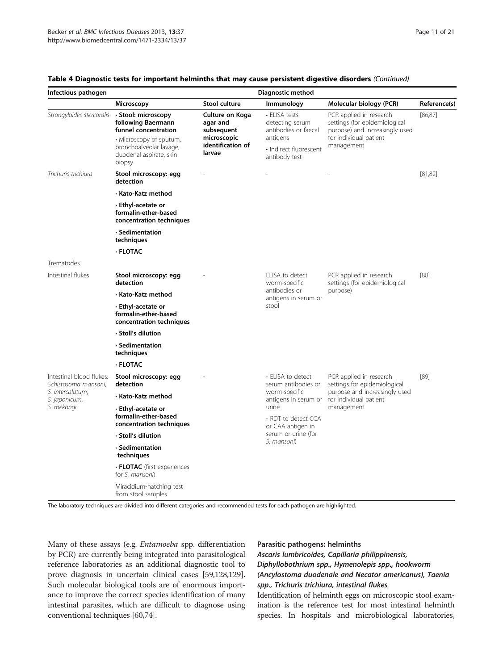| Table 4 Diagnostic tests for important helminths that may cause persistent digestive disorders (Continued) |  |  |  |  |  |  |
|------------------------------------------------------------------------------------------------------------|--|--|--|--|--|--|
|------------------------------------------------------------------------------------------------------------|--|--|--|--|--|--|

| Infectious pathogen                              |                                                                                                                                                              |                                                                                         | Diagnostic method                                                                                               |                                                                                                                                    |              |
|--------------------------------------------------|--------------------------------------------------------------------------------------------------------------------------------------------------------------|-----------------------------------------------------------------------------------------|-----------------------------------------------------------------------------------------------------------------|------------------------------------------------------------------------------------------------------------------------------------|--------------|
|                                                  | <b>Microscopy</b>                                                                                                                                            | Stool culture                                                                           | Immunology                                                                                                      | Molecular biology (PCR)                                                                                                            | Reference(s) |
| Strongyloides stercoralis                        | · Stool: microscopy<br>following Baermann<br>funnel concentration<br>• Microscopy of sputum,<br>bronchoalveolar lavage,<br>duodenal aspirate, skin<br>biopsy | Culture on Koga<br>agar and<br>subsequent<br>microscopic<br>identification of<br>larvae | • ELISA tests<br>detecting serum<br>antibodies or faecal<br>antigens<br>• Indirect fluorescent<br>antibody test | PCR applied in research<br>settings (for epidemiological<br>purpose) and increasingly used<br>for individual patient<br>management | [86, 87]     |
| Trichuris trichiura                              | Stool microscopy: egg<br>detection                                                                                                                           |                                                                                         |                                                                                                                 |                                                                                                                                    | [81, 82]     |
|                                                  | · Kato-Katz method                                                                                                                                           |                                                                                         |                                                                                                                 |                                                                                                                                    |              |
|                                                  | · Ethyl-acetate or<br>formalin-ether-based<br>concentration techniques                                                                                       |                                                                                         |                                                                                                                 |                                                                                                                                    |              |
|                                                  | · Sedimentation<br>techniques                                                                                                                                |                                                                                         |                                                                                                                 |                                                                                                                                    |              |
|                                                  | · FLOTAC                                                                                                                                                     |                                                                                         |                                                                                                                 |                                                                                                                                    |              |
| Trematodes                                       |                                                                                                                                                              |                                                                                         |                                                                                                                 |                                                                                                                                    |              |
| Intestinal flukes                                | Stool microscopy: egg<br>detection                                                                                                                           |                                                                                         | ELISA to detect<br>worm-specific<br>antibodies or<br>antigens in serum or<br>stool                              | PCR applied in research<br>settings (for epidemiological<br>purpose)                                                               | [88]         |
|                                                  | · Kato-Katz method                                                                                                                                           |                                                                                         |                                                                                                                 |                                                                                                                                    |              |
|                                                  | · Ethyl-acetate or<br>formalin-ether-based<br>concentration techniques                                                                                       |                                                                                         |                                                                                                                 |                                                                                                                                    |              |
|                                                  | · Stoll's dilution                                                                                                                                           |                                                                                         |                                                                                                                 |                                                                                                                                    |              |
|                                                  | · Sedimentation<br>techniques                                                                                                                                |                                                                                         |                                                                                                                 |                                                                                                                                    |              |
|                                                  | <b>· FLOTAC</b>                                                                                                                                              |                                                                                         |                                                                                                                 |                                                                                                                                    |              |
| Intestinal blood flukes:<br>Schistosoma mansoni, | Stool microscopy: egg<br>detection                                                                                                                           |                                                                                         | - ELISA to detect<br>serum antibodies or                                                                        | PCR applied in research<br>settings for epidemiological                                                                            | [89]         |
| S. intercalatum,<br>S. japonicum,                | · Kato-Katz method                                                                                                                                           |                                                                                         | worm-specific<br>antigens in serum or                                                                           | purpose and increasingly used<br>for individual patient                                                                            |              |
| S. mekongi                                       | · Ethyl-acetate or<br>formalin-ether-based<br>concentration techniques                                                                                       |                                                                                         | urine<br>- RDT to detect CCA                                                                                    | management                                                                                                                         |              |
|                                                  | · Stoll's dilution                                                                                                                                           |                                                                                         | or CAA antigen in<br>serum or urine (for                                                                        |                                                                                                                                    |              |
|                                                  | · Sedimentation                                                                                                                                              |                                                                                         | S. mansoni)                                                                                                     |                                                                                                                                    |              |
|                                                  | techniques                                                                                                                                                   |                                                                                         |                                                                                                                 |                                                                                                                                    |              |
|                                                  | • FLOTAC (first experiences<br>for S. mansoni)                                                                                                               |                                                                                         |                                                                                                                 |                                                                                                                                    |              |
|                                                  | Miracidium-hatching test<br>from stool samples                                                                                                               |                                                                                         |                                                                                                                 |                                                                                                                                    |              |

The laboratory techniques are divided into different categories and recommended tests for each pathogen are highlighted.

Many of these assays (e.g. Entamoeba spp. differentiation by PCR) are currently being integrated into parasitological reference laboratories as an additional diagnostic tool to prove diagnosis in uncertain clinical cases [[59](#page-17-0)[,128,129](#page-19-0)]. Such molecular biological tools are of enormous importance to improve the correct species identification of many intestinal parasites, which are difficult to diagnose using conventional techniques [\[60](#page-17-0)[,74\]](#page-18-0).

#### Parasitic pathogens: helminths

Ascaris lumbricoides, Capillaria philippinensis, Diphyllobothrium spp., Hymenolepis spp., hookworm (Ancylostoma duodenale and Necator americanus), Taenia spp., Trichuris trichiura, intestinal flukes

Identification of helminth eggs on microscopic stool examination is the reference test for most intestinal helminth species. In hospitals and microbiological laboratories,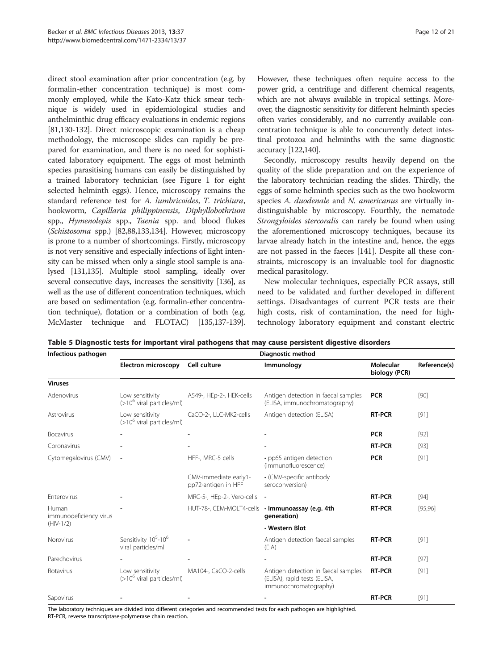<span id="page-11-0"></span>direct stool examination after prior concentration (e.g. by formalin-ether concentration technique) is most commonly employed, while the Kato-Katz thick smear technique is widely used in epidemiological studies and anthelminthic drug efficacy evaluations in endemic regions [[81](#page-18-0)[,130-132\]](#page-19-0). Direct microscopic examination is a cheap methodology, the microscope slides can rapidly be prepared for examination, and there is no need for sophisticated laboratory equipment. The eggs of most helminth species parasitising humans can easily be distinguished by a trained laboratory technician (see Figure [1](#page-12-0) for eight selected helminth eggs). Hence, microscopy remains the standard reference test for A. lumbricoides, T. trichiura, hookworm, Capillaria philippinensis, Diphyllobothrium spp., Hymenolepis spp., Taenia spp. and blood flukes (Schistosoma spp.) [\[82,88](#page-18-0)[,133,134](#page-19-0)]. However, microscopy is prone to a number of shortcomings. Firstly, microscopy is not very sensitive and especially infections of light intensity can be missed when only a single stool sample is analysed [[131,135\]](#page-19-0). Multiple stool sampling, ideally over several consecutive days, increases the sensitivity [[136\]](#page-19-0), as well as the use of different concentration techniques, which are based on sedimentation (e.g. formalin-ether concentration technique), flotation or a combination of both (e.g. McMaster technique and FLOTAC) [[135,137-139](#page-19-0)].

However, these techniques often require access to the power grid, a centrifuge and different chemical reagents, which are not always available in tropical settings. Moreover, the diagnostic sensitivity for different helminth species often varies considerably, and no currently available concentration technique is able to concurrently detect intestinal protozoa and helminths with the same diagnostic accuracy [\[122,140](#page-19-0)].

Secondly, microscopy results heavily depend on the quality of the slide preparation and on the experience of the laboratory technician reading the slides. Thirdly, the eggs of some helminth species such as the two hookworm species A. *duodenale* and N. *americanus* are virtually indistinguishable by microscopy. Fourthly, the nematode Strongyloides stercoralis can rarely be found when using the aforementioned microscopy techniques, because its larvae already hatch in the intestine and, hence, the eggs are not passed in the faeces [\[141\]](#page-19-0). Despite all these constraints, microscopy is an invaluable tool for diagnostic medical parasitology.

New molecular techniques, especially PCR assays, still need to be validated and further developed in different settings. Disadvantages of current PCR tests are their high costs, risk of contamination, the need for hightechnology laboratory equipment and constant electric

RT-PCR [\[91](#page-18-0)]

| Infectious pathogen             |                                                                    | Diagnostic method                            |                                                                      |                            |              |  |  |  |
|---------------------------------|--------------------------------------------------------------------|----------------------------------------------|----------------------------------------------------------------------|----------------------------|--------------|--|--|--|
|                                 | <b>Electron microscopy</b>                                         | Cell culture                                 | Immunology                                                           | Molecular<br>biology (PCR) | Reference(s) |  |  |  |
| <b>Viruses</b>                  |                                                                    |                                              |                                                                      |                            |              |  |  |  |
| Adenovirus                      | Low sensitivity<br>$($ >10 <sup>6</sup> viral particles/ml)        | A549-, HEp-2-, HEK-cells                     | Antigen detection in faecal samples<br>(ELISA, immunochromatography) | <b>PCR</b>                 | $[90]$       |  |  |  |
| Astrovirus                      | Low sensitivity<br>$($ >10 $6$ viral particles/ml)                 | CaCO-2-, LLC-MK2-cells                       | Antigen detection (ELISA)                                            | <b>RT-PCR</b>              | $[91]$       |  |  |  |
| <b>Bocavirus</b>                |                                                                    |                                              |                                                                      | <b>PCR</b>                 | $[92]$       |  |  |  |
| Coronavirus                     |                                                                    |                                              |                                                                      | <b>RT-PCR</b>              | $[93]$       |  |  |  |
| Cytomegalovirus (CMV)           |                                                                    | HFF-, MRC-5 cells                            | · pp65 antigen detection<br>(immunofluorescence)                     | <b>PCR</b>                 | $[91]$       |  |  |  |
|                                 |                                                                    | CMV-immediate early1-<br>pp72-antigen in HFF | • (CMV-specific antibody<br>seroconversion)                          |                            |              |  |  |  |
| Enterovirus                     |                                                                    | MRC-5-, HEp-2-, Vero-cells                   |                                                                      | <b>RT-PCR</b>              | $[94]$       |  |  |  |
| Human<br>immunodeficiency virus |                                                                    |                                              | HUT-78-, CEM-MOLT4-cells · Immunoassay (e.g. 4th<br>generation)      | <b>RT-PCR</b>              | [95, 96]     |  |  |  |
| $(HIV-1/2)$                     |                                                                    |                                              | • Western Blot                                                       |                            |              |  |  |  |
| Norovirus                       | Sensitivity 10 <sup>5</sup> -10 <sup>6</sup><br>viral particles/ml |                                              | Antigen detection faecal samples<br>(EIA)                            | <b>RT-PCR</b>              | $[91]$       |  |  |  |

Parechovirus - - - - - - - - - - - - - - - RT-PCR [\[97](#page-18-0)]

Sapovirus - - - RT-PCR [\[91](#page-18-0)]

MA104-, CaCO-2-cells Antigen detection in faecal samples

(ELISA), rapid tests (ELISA, immunochromatography)

Table 5 Diagnostic tests for important viral pathogens that may cause persistent digestive disorders

The laboratory techniques are divided into different categories and recommended tests for each pathogen are highlighted.

RT-PCR, reverse transcriptase-polymerase chain reaction.

 $(>10^6$  viral particles/ml)

Rotavirus Low sensitivity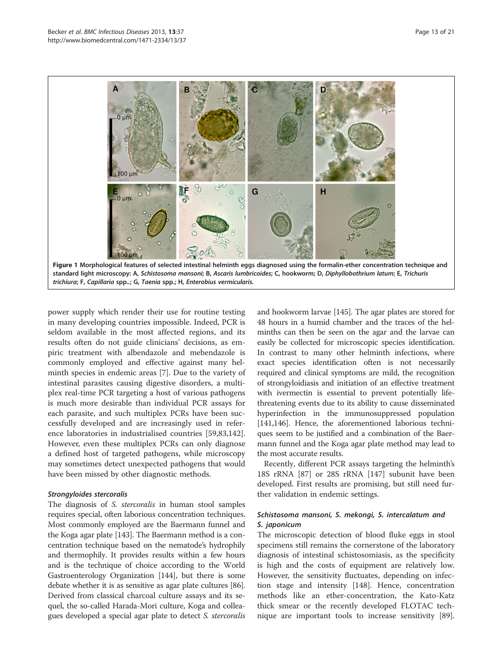<span id="page-12-0"></span>

trichiura; F, Capillaria spp..; G, Taenia spp.; H, Enterobius vermicularis.

power supply which render their use for routine testing in many developing countries impossible. Indeed, PCR is seldom available in the most affected regions, and its results often do not guide clinicians' decisions, as empiric treatment with albendazole and mebendazole is commonly employed and effective against many helminth species in endemic areas [[7\]](#page-16-0). Due to the variety of intestinal parasites causing digestive disorders, a multiplex real-time PCR targeting a host of various pathogens is much more desirable than individual PCR assays for each parasite, and such multiplex PCRs have been successfully developed and are increasingly used in reference laboratories in industrialised countries [[59](#page-17-0),[83](#page-18-0)[,142](#page-19-0)]. However, even these multiplex PCRs can only diagnose a defined host of targeted pathogens, while microscopy may sometimes detect unexpected pathogens that would have been missed by other diagnostic methods.

# Strongyloides stercoralis

The diagnosis of *S. stercoralis* in human stool samples requires special, often laborious concentration techniques. Most commonly employed are the Baermann funnel and the Koga agar plate [\[143\]](#page-19-0). The Baermann method is a concentration technique based on the nematode's hydrophily and thermophily. It provides results within a few hours and is the technique of choice according to the World Gastroenterology Organization [[144](#page-19-0)], but there is some debate whether it is as sensitive as agar plate cultures [[86](#page-18-0)]. Derived from classical charcoal culture assays and its sequel, the so-called Harada-Mori culture, Koga and colleagues developed a special agar plate to detect S. stercoralis

and hookworm larvae [\[145\]](#page-19-0). The agar plates are stored for 48 hours in a humid chamber and the traces of the helminths can then be seen on the agar and the larvae can easily be collected for microscopic species identification. In contrast to many other helminth infections, where exact species identification often is not necessarily required and clinical symptoms are mild, the recognition of strongyloidiasis and initiation of an effective treatment with ivermectin is essential to prevent potentially lifethreatening events due to its ability to cause disseminated hyperinfection in the immunosuppressed population [[141,146\]](#page-19-0). Hence, the aforementioned laborious techniques seem to be justified and a combination of the Baermann funnel and the Koga agar plate method may lead to the most accurate results.

Recently, different PCR assays targeting the helminth's 18S rRNA [\[87\]](#page-18-0) or 28S rRNA [\[147](#page-19-0)] subunit have been developed. First results are promising, but still need further validation in endemic settings.

# Schistosoma mansoni, S. mekongi, S. intercalatum and S. japonicum

The microscopic detection of blood fluke eggs in stool specimens still remains the cornerstone of the laboratory diagnosis of intestinal schistosomiasis, as the specificity is high and the costs of equipment are relatively low. However, the sensitivity fluctuates, depending on infection stage and intensity [[148](#page-19-0)]. Hence, concentration methods like an ether-concentration, the Kato-Katz thick smear or the recently developed FLOTAC technique are important tools to increase sensitivity [\[89](#page-18-0)].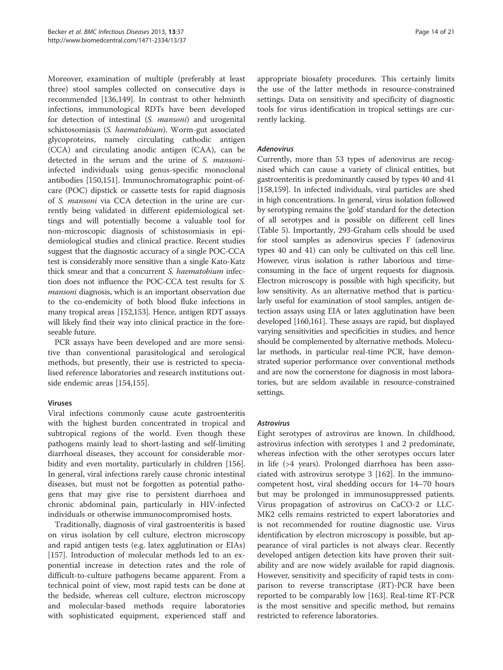Moreover, examination of multiple (preferably at least three) stool samples collected on consecutive days is recommended [[136,149\]](#page-19-0). In contrast to other helminth infections, immunological RDTs have been developed for detection of intestinal (S. mansoni) and urogenital schistosomiasis (S. haematobium). Worm-gut associated glycoproteins, namely circulating cathodic antigen (CCA) and circulating anodic antigen (CAA), can be detected in the serum and the urine of S. mansoniinfected individuals using genus-specific monoclonal antibodies [\[150,151\]](#page-19-0). Immunochromatographic point-ofcare (POC) dipstick or cassette tests for rapid diagnosis of S. mansoni via CCA detection in the urine are currently being validated in different epidemiological settings and will potentially become a valuable tool for non-microscopic diagnosis of schistosomiasis in epidemiological studies and clinical practice. Recent studies suggest that the diagnostic accuracy of a single POC-CCA test is considerably more sensitive than a single Kato-Katz thick smear and that a concurrent S. haematobium infection does not influence the POC-CCA test results for S. mansoni diagnosis, which is an important observation due to the co-endemicity of both blood fluke infections in many tropical areas [[152,153\]](#page-19-0). Hence, antigen RDT assays will likely find their way into clinical practice in the foreseeable future.

PCR assays have been developed and are more sensitive than conventional parasitological and serological methods, but presently, their use is restricted to specialised reference laboratories and research institutions outside endemic areas [[154,155\]](#page-19-0).

# Viruses

Viral infections commonly cause acute gastroenteritis with the highest burden concentrated in tropical and subtropical regions of the world. Even though these pathogens mainly lead to short-lasting and self-limiting diarrhoeal diseases, they account for considerable morbidity and even mortality, particularly in children [\[156](#page-19-0)]. In general, viral infections rarely cause chronic intestinal diseases, but must not be forgotten as potential pathogens that may give rise to persistent diarrhoea and chronic abdominal pain, particularly in HIV-infected individuals or otherwise immunocompromised hosts.

Traditionally, diagnosis of viral gastroenteritis is based on virus isolation by cell culture, electron microscopy and rapid antigen tests (e.g. latex agglutination or EIAs) [[157\]](#page-20-0). Introduction of molecular methods led to an exponential increase in detection rates and the role of difficult-to-culture pathogens became apparent. From a technical point of view, most rapid tests can be done at the bedside, whereas cell culture, electron microscopy and molecular-based methods require laboratories with sophisticated equipment, experienced staff and

appropriate biosafety procedures. This certainly limits the use of the latter methods in resource-constrained settings. Data on sensitivity and specificity of diagnostic tools for virus identification in tropical settings are currently lacking.

# Adenovirus

Currently, more than 53 types of adenovirus are recognised which can cause a variety of clinical entities, but gastroenteritis is predominantly caused by types 40 and 41 [[158,159\]](#page-20-0). In infected individuals, viral particles are shed in high concentrations. In general, virus isolation followed by serotyping remains the 'gold' standard for the detection of all serotypes and is possible on different cell lines (Table [5](#page-11-0)). Importantly, 293-Graham cells should be used for stool samples as adenovirus species F (adenovirus types 40 and 41) can only be cultivated on this cell line. However, virus isolation is rather laborious and timeconsuming in the face of urgent requests for diagnosis. Electron microscopy is possible with high specificity, but low sensitivity. As an alternative method that is particularly useful for examination of stool samples, antigen detection assays using EIA or latex agglutination have been developed [\[160,161](#page-20-0)]. These assays are rapid, but displayed varying sensitivities and specificities in studies, and hence should be complemented by alternative methods. Molecular methods, in particular real-time PCR, have demonstrated superior performance over conventional methods and are now the cornerstone for diagnosis in most laboratories, but are seldom available in resource-constrained settings.

# Astrovirus

Eight serotypes of astrovirus are known. In childhood, astrovirus infection with serotypes 1 and 2 predominate, whereas infection with the other serotypes occurs later in life (>4 years). Prolonged diarrhoea has been associated with astrovirus serotype 3 [[162](#page-20-0)]. In the immunocompetent host, viral shedding occurs for 14–70 hours but may be prolonged in immunosuppressed patients. Virus propagation of astrovirus on CaCO-2 or LLC-MK2 cells remains restricted to expert laboratories and is not recommended for routine diagnostic use. Virus identification by electron microscopy is possible, but appearance of viral particles is not always clear. Recently developed antigen detection kits have proven their suitability and are now widely available for rapid diagnosis. However, sensitivity and specificity of rapid tests in comparison to reverse transcriptase (RT)-PCR have been reported to be comparably low [[163\]](#page-20-0). Real-time RT-PCR is the most sensitive and specific method, but remains restricted to reference laboratories.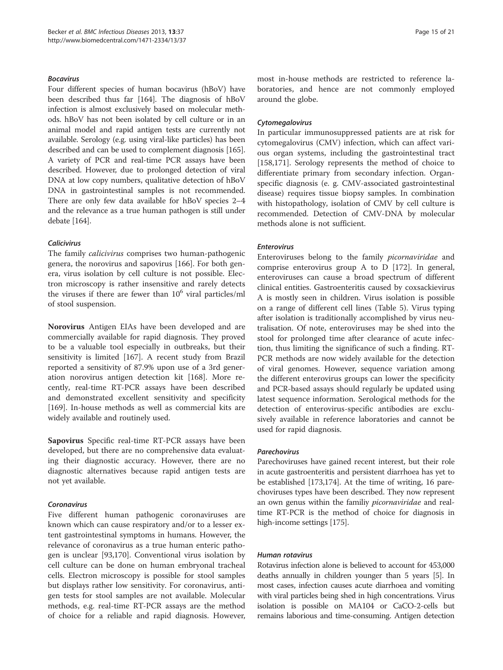#### Bocavirus

Four different species of human bocavirus (hBoV) have been described thus far [\[164\]](#page-20-0). The diagnosis of hBoV infection is almost exclusively based on molecular methods. hBoV has not been isolated by cell culture or in an animal model and rapid antigen tests are currently not available. Serology (e.g. using viral-like particles) has been described and can be used to complement diagnosis [[165](#page-20-0)]. A variety of PCR and real-time PCR assays have been described. However, due to prolonged detection of viral DNA at low copy numbers, qualitative detection of hBoV DNA in gastrointestinal samples is not recommended. There are only few data available for hBoV species 2–4 and the relevance as a true human pathogen is still under debate [\[164\]](#page-20-0).

# Calicivirus

The family *calicivirus* comprises two human-pathogenic genera, the norovirus and sapovirus [\[166](#page-20-0)]. For both genera, virus isolation by cell culture is not possible. Electron microscopy is rather insensitive and rarely detects the viruses if there are fewer than  $10^6$  viral particles/ml of stool suspension.

Norovirus Antigen EIAs have been developed and are commercially available for rapid diagnosis. They proved to be a valuable tool especially in outbreaks, but their sensitivity is limited [\[167\]](#page-20-0). A recent study from Brazil reported a sensitivity of 87.9% upon use of a 3rd generation norovirus antigen detection kit [[168](#page-20-0)]. More recently, real-time RT-PCR assays have been described and demonstrated excellent sensitivity and specificity [[169\]](#page-20-0). In-house methods as well as commercial kits are widely available and routinely used.

Sapovirus Specific real-time RT-PCR assays have been developed, but there are no comprehensive data evaluating their diagnostic accuracy. However, there are no diagnostic alternatives because rapid antigen tests are not yet available.

# Coronavirus

Five different human pathogenic coronaviruses are known which can cause respiratory and/or to a lesser extent gastrointestinal symptoms in humans. However, the relevance of coronavirus as a true human enteric pathogen is unclear [\[93](#page-18-0)[,170\]](#page-20-0). Conventional virus isolation by cell culture can be done on human embryonal tracheal cells. Electron microscopy is possible for stool samples but displays rather low sensitivity. For coronavirus, antigen tests for stool samples are not available. Molecular methods, e.g. real-time RT-PCR assays are the method of choice for a reliable and rapid diagnosis. However,

most in-house methods are restricted to reference laboratories, and hence are not commonly employed around the globe.

# Cytomegalovirus

In particular immunosuppressed patients are at risk for cytomegalovirus (CMV) infection, which can affect various organ systems, including the gastrointestinal tract [[158,171](#page-20-0)]. Serology represents the method of choice to differentiate primary from secondary infection. Organspecific diagnosis (e. g. CMV-associated gastrointestinal disease) requires tissue biopsy samples. In combination with histopathology, isolation of CMV by cell culture is recommended. Detection of CMV-DNA by molecular methods alone is not sufficient.

# Enterovirus

Enteroviruses belong to the family picornaviridae and comprise enterovirus group A to D [[172\]](#page-20-0). In general, enteroviruses can cause a broad spectrum of different clinical entities. Gastroenteritis caused by coxsackievirus A is mostly seen in children. Virus isolation is possible on a range of different cell lines (Table [5](#page-11-0)). Virus typing after isolation is traditionally accomplished by virus neutralisation. Of note, enteroviruses may be shed into the stool for prolonged time after clearance of acute infection, thus limiting the significance of such a finding. RT-PCR methods are now widely available for the detection of viral genomes. However, sequence variation among the different enterovirus groups can lower the specificity and PCR-based assays should regularly be updated using latest sequence information. Serological methods for the detection of enterovirus-specific antibodies are exclusively available in reference laboratories and cannot be used for rapid diagnosis.

# Parechovirus

Parechoviruses have gained recent interest, but their role in acute gastroenteritis and persistent diarrhoea has yet to be established [\[173,174\]](#page-20-0). At the time of writing, 16 parechoviruses types have been described. They now represent an own genus within the familiy picornaviridae and realtime RT-PCR is the method of choice for diagnosis in high-income settings [[175](#page-20-0)].

# Human rotavirus

Rotavirus infection alone is believed to account for 453,000 deaths annually in children younger than 5 years [[5\]](#page-16-0). In most cases, infection causes acute diarrhoea and vomiting with viral particles being shed in high concentrations. Virus isolation is possible on MA104 or CaCO-2-cells but remains laborious and time-consuming. Antigen detection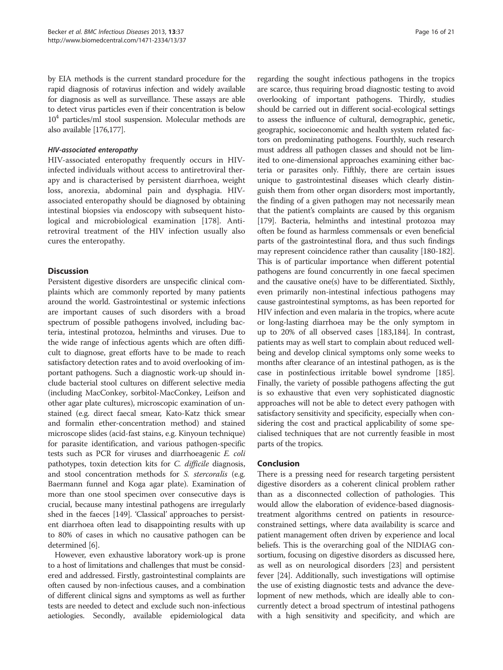by EIA methods is the current standard procedure for the rapid diagnosis of rotavirus infection and widely available for diagnosis as well as surveillance. These assays are able to detect virus particles even if their concentration is below  $10<sup>4</sup>$  particles/ml stool suspension. Molecular methods are also available [\[176,177](#page-20-0)].

# HIV-associated enteropathy

HIV-associated enteropathy frequently occurs in HIVinfected individuals without access to antiretroviral therapy and is characterised by persistent diarrhoea, weight loss, anorexia, abdominal pain and dysphagia. HIVassociated enteropathy should be diagnosed by obtaining intestinal biopsies via endoscopy with subsequent histological and microbiological examination [[178\]](#page-20-0). Antiretroviral treatment of the HIV infection usually also cures the enteropathy.

# Discussion

Persistent digestive disorders are unspecific clinical complaints which are commonly reported by many patients around the world. Gastrointestinal or systemic infections are important causes of such disorders with a broad spectrum of possible pathogens involved, including bacteria, intestinal protozoa, helminths and viruses. Due to the wide range of infectious agents which are often difficult to diagnose, great efforts have to be made to reach satisfactory detection rates and to avoid overlooking of important pathogens. Such a diagnostic work-up should include bacterial stool cultures on different selective media (including MacConkey, sorbitol-MacConkey, Leifson and other agar plate cultures), microscopic examination of unstained (e.g. direct faecal smear, Kato-Katz thick smear and formalin ether-concentration method) and stained microscope slides (acid-fast stains, e.g. Kinyoun technique) for parasite identification, and various pathogen-specific tests such as PCR for viruses and diarrhoeagenic E. coli pathotypes, toxin detection kits for C. difficile diagnosis, and stool concentration methods for S. stercoralis (e.g. Baermann funnel and Koga agar plate). Examination of more than one stool specimen over consecutive days is crucial, because many intestinal pathogens are irregularly shed in the faeces [[149](#page-19-0)]. 'Classical' approaches to persistent diarrhoea often lead to disappointing results with up to 80% of cases in which no causative pathogen can be determined [\[6\]](#page-16-0).

However, even exhaustive laboratory work-up is prone to a host of limitations and challenges that must be considered and addressed. Firstly, gastrointestinal complaints are often caused by non-infectious causes, and a combination of different clinical signs and symptoms as well as further tests are needed to detect and exclude such non-infectious aetiologies. Secondly, available epidemiological data

regarding the sought infectious pathogens in the tropics are scarce, thus requiring broad diagnostic testing to avoid overlooking of important pathogens. Thirdly, studies should be carried out in different social-ecological settings to assess the influence of cultural, demographic, genetic, geographic, socioeconomic and health system related factors on predominating pathogens. Fourthly, such research must address all pathogen classes and should not be limited to one-dimensional approaches examining either bacteria or parasites only. Fifthly, there are certain issues unique to gastrointestinal diseases which clearly distinguish them from other organ disorders; most importantly, the finding of a given pathogen may not necessarily mean that the patient's complaints are caused by this organism [[179](#page-20-0)]. Bacteria, helminths and intestinal protozoa may often be found as harmless commensals or even beneficial parts of the gastrointestinal flora, and thus such findings may represent coincidence rather than causality [\[180-182](#page-20-0)]. This is of particular importance when different potential pathogens are found concurrently in one faecal specimen and the causative one(s) have to be differentiated. Sixthly, even primarily non-intestinal infectious pathogens may cause gastrointestinal symptoms, as has been reported for HIV infection and even malaria in the tropics, where acute or long-lasting diarrhoea may be the only symptom in up to 20% of all observed cases [[183,184\]](#page-20-0). In contrast, patients may as well start to complain about reduced wellbeing and develop clinical symptoms only some weeks to months after clearance of an intestinal pathogen, as is the case in postinfectious irritable bowel syndrome [[185](#page-20-0)]. Finally, the variety of possible pathogens affecting the gut is so exhaustive that even very sophisticated diagnostic approaches will not be able to detect every pathogen with satisfactory sensitivity and specificity, especially when considering the cost and practical applicability of some specialised techniques that are not currently feasible in most parts of the tropics.

# Conclusion

There is a pressing need for research targeting persistent digestive disorders as a coherent clinical problem rather than as a disconnected collection of pathologies. This would allow the elaboration of evidence-based diagnosistreatment algorithms centred on patients in resourceconstrained settings, where data availability is scarce and patient management often driven by experience and local beliefs. This is the overarching goal of the NIDIAG consortium, focusing on digestive disorders as discussed here, as well as on neurological disorders [\[23\]](#page-17-0) and persistent fever [\[24\]](#page-17-0). Additionally, such investigations will optimise the use of existing diagnostic tests and advance the development of new methods, which are ideally able to concurrently detect a broad spectrum of intestinal pathogens with a high sensitivity and specificity, and which are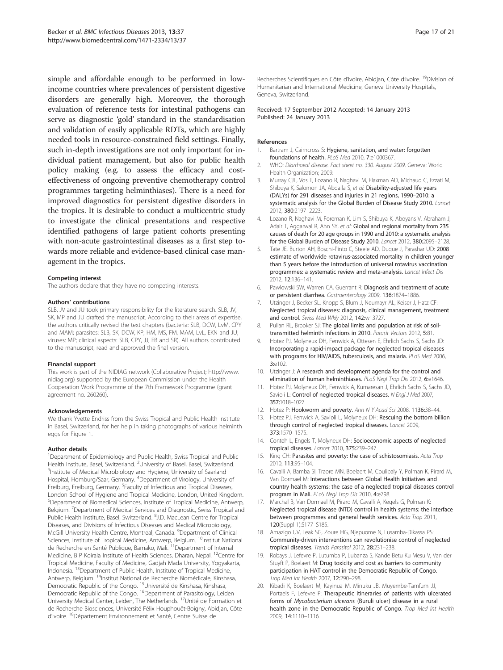<span id="page-16-0"></span>simple and affordable enough to be performed in lowincome countries where prevalences of persistent digestive disorders are generally high. Moreover, the thorough evaluation of reference tests for intestinal pathogens can serve as diagnostic 'gold' standard in the standardisation and validation of easily applicable RDTs, which are highly needed tools in resource-constrained field settings. Finally, such in-depth investigations are not only important for individual patient management, but also for public health policy making (e.g. to assess the efficacy and costeffectiveness of ongoing preventive chemotherapy control programmes targeting helminthiases). There is a need for improved diagnostics for persistent digestive disorders in the tropics. It is desirable to conduct a multicentric study to investigate the clinical presentations and respective identified pathogens of large patient cohorts presenting with non-acute gastrointestinal diseases as a first step towards more reliable and evidence-based clinical case management in the tropics.

#### Competing interest

The authors declare that they have no competing interests.

#### Authors' contributions

SLB, JV and JU took primary responsibility for the literature search. SLB, JV, SK, MP and JU drafted the manuscript. According to their areas of expertise, the authors critically revised the text chapters (bacteria: SLB, DCW, LvM, CPY and MAM; parasites: SLB, SK, DCW, KP, HM, MS, FM, MAM, LvL, EKN and JU; viruses: MP; clinical aspects: SLB, CPY, JJ, EB and SR). All authors contributed to the manuscript, read and approved the final version.

#### Financial support

This work is part of the NIDIAG network (Collaborative Project; http://www. nidiag.org) supported by the European Commission under the Health Cooperation Work Programme of the 7th Framework Programme (grant agreement no. 260260).

#### Acknowledgements

We thank Yvette Endriss from the Swiss Tropical and Public Health Institute in Basel, Switzerland, for her help in taking photographs of various helminth eggs for Figure 1.

#### Author details

<sup>1</sup>Department of Epidemiology and Public Health, Swiss Tropical and Public Health Institute, Basel, Switzerland. <sup>2</sup>University of Basel, Basel, Switzerland.<br><sup>3</sup>Institute of Medical Microbiology and Hygiene University of Saarland <sup>3</sup>Institute of Medical Microbiology and Hygiene, University of Saarland Hospital, Homburg/Saar, Germany. <sup>4</sup> Department of Virology, University of Freiburg, Freiburg, Germany. <sup>5</sup>Faculty of Infectious and Tropical Diseases, London School of Hygiene and Tropical Medicine, London, United Kingdom. 6 Department of Biomedical Sciences, Institute of Tropical Medicine, Antwerp, Belgium. <sup>7</sup>Department of Medical Services and Diagnostic, Swiss Tropical and Public Health Institute, Basel, Switzerland. <sup>8</sup>J.D. MacLean Centre for Tropical Diseases, and Divisions of Infectious Diseases and Medical Microbiology, McGill University Health Centre, Montreal, Canada. <sup>9</sup>Department of Clinical Sciences, Institute of Tropical Medicine, Antwerp, Belgium. <sup>10</sup>Institut National de Recherche en Santé Publique, Bamako, Mali. <sup>11</sup>Department of Internal Medicine, B P Koirala Institute of Health Sciences, Dharan, Nepal. <sup>12</sup>Centre for Tropical Medicine, Faculty of Medicine, Gadjah Mada University, Yogyakarta, Indonesia. 13Department of Public Health, Institute of Tropical Medicine, Antwerp, Belgium. <sup>14</sup>Institut National de Recherche Biomédicale, Kinshasa, Democratic Republic of the Congo. <sup>15</sup>Université de Kinshasa, Kinshasa, Democratic Republic of the Congo. <sup>16</sup>Department of Parasitology, Leiden University Medical Center, Leiden, The Netherlands. 17Unité de Formation et de Recherche Biosciences, Université Félix Houphouët-Boigny, Abidjan, Côte d'Ivoire. 18Département Environnement et Santé, Centre Suisse de

Recherches Scientifiques en Côte d'Ivoire, Abidjan, Côte d'Ivoire. <sup>19</sup>Division of Humanitarian and International Medicine, Geneva University Hospitals, Geneva, Switzerland.

Received: 17 September 2012 Accepted: 14 January 2013 Published: 24 January 2013

#### References

- 1. Bartram J, Cairncross S: Hygiene, sanitation, and water: forgotten foundations of health. PLoS Med 2010, 7:e1000367.
- 2. WHO: Diarrhoeal disease. Fact sheet no. 330. August 2009. Geneva: World Health Organization: 2009.
- 3. Murray CJL, Vos T, Lozano R, Naghavi M, Flaxman AD, Michaud C, Ezzati M, Shibuya K, Salomon JA, Abdalla S, et al: Disability-adjusted life years (DALYs) for 291 diseases and injuries in 21 regions, 1990–2010: a systematic analysis for the Global Burden of Disease Study 2010. Lancet 2012, 380:2197–2223.
- 4. Lozano R, Naghavi M, Foreman K, Lim S, Shibuya K, Aboyans V, Abraham J, Adair T, Aggarwal R, Ahn SY, et al: Global and regional mortality from 235 causes of death for 20 age groups in 1990 and 2010: a systematic analysis for the Global Burden of Disease Study 2010. Lancet 2012, 380:2095–2128.
- 5. Tate JE, Burton AH, Boschi-Pinto C, Steele AD, Duque J, Parashar UD: 2008 estimate of worldwide rotavirus-associated mortality in children younger than 5 years before the introduction of universal rotavirus vaccination programmes: a systematic review and meta-analysis. Lancet Infect Dis 2012, 12:136–141.
- 6. Pawlowski SW, Warren CA, Guerrant R: Diagnosis and treatment of acute or persistent diarrhea. Gastroenterology 2009, 136:1874–1886.
- 7. Utzinger J, Becker SL, Knopp S, Blum J, Neumayr AL, Keiser J, Hatz CF: Neglected tropical diseases: diagnosis, clinical management, treatment and control. Swiss Med Wkly 2012, 142:w13727.
- 8. Pullan RL, Brooker SJ: The global limits and population at risk of soiltransmitted helminth infections in 2010. Parasit Vectors 2012, 5:81.
- 9. Hotez PJ, Molyneux DH, Fenwick A, Ottesen E, Ehrlich Sachs S, Sachs JD: Incorporating a rapid-impact package for neglected tropical diseases with programs for HIV/AIDS, tuberculosis, and malaria. PLoS Med 2006, 3:e102.
- 10. Utzinger J: A research and development agenda for the control and elimination of human helminthiases. PLoS Negl Trop Dis 2012, 6:e1646
- 11. Hotez PJ, Molyneux DH, Fenwick A, Kumaresan J, Ehrlich Sachs S, Sachs JD, Savioli L: Control of neglected tropical diseases. N Engl J Med 2007, 357:1018–1027.
- 12. Hotez P: Hookworm and poverty. Ann N Y Acad Sci 2008, 1136:38-44.
- 13. Hotez PJ, Fenwick A, Savioli L, Molyneux DH: Rescuing the bottom billion through control of neglected tropical diseases. Lancet 2009, 373:1570–1575.
- 14. Conteh L, Engels T, Molyneux DH: Socioeconomic aspects of neglected tropical diseases. Lancet 2010, 375:239–247.
- 15. King CH: Parasites and poverty: the case of schistosomiasis. Acta Trop 2010, 113:95–104.
- 16. Cavalli A, Bamba SI, Traore MN, Boelaert M, Coulibaly Y, Polman K, Pirard M, Van Dormael M: Interactions between Global Health Initiatives and country health systems: the case of a neglected tropical diseases control program in Mali. PLoS Negl Trop Dis 2010, 4:e798.
- 17. Marchal B, Van Dormael M, Pirard M, Cavalli A, Kegels G, Polman K: Neglected tropical disease (NTD) control in health systems: the interface between programmes and general health services. Acta Trop 2011, 120(Suppl 1):S177–S185.
- 18. Amazigo UV, Leak SG, Zoure HG, Njepuome N, Lusamba-Dikassa PS: Community-driven interventions can revolutionise control of neglected tropical diseases. Trends Parasitol 2012, 28:231–238.
- 19. Robays J, Lefevre P, Lutumba P, Lubanza S, Kande Betu Ku Mesu V, Van der Stuyft P, Boelaert M: Drug toxicity and cost as barriers to community participation in HAT control in the Democratic Republic of Congo. Trop Med Int Health 2007, 12:290–298.
- 20. Kibadi K, Boelaert M, Kayinua M, Minuku JB, Muyembe-Tamfum JJ, Portaels F, Lefevre P: Therapeutic itineraries of patients with ulcerated forms of Mycobacterium ulcerans (Buruli ulcer) disease in a rural health zone in the Democratic Republic of Congo. Trop Med Int Health 2009, 14:1110–1116.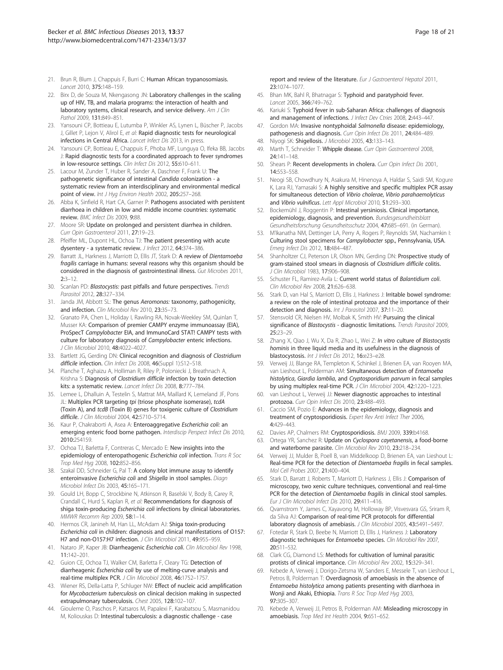- <span id="page-17-0"></span>21. Brun R, Blum J, Chappuis F, Burri C: Human African trypanosomiasis. Lancet 2010, 375:148–159.
- 22. Birx D, de Souza M, Nkengasong JN: Laboratory challenges in the scaling up of HIV, TB, and malaria programs: the interaction of health and laboratory systems, clinical research, and service delivery. Am J Clin Pathol 2009, 131:849–851.
- 23. Yansouni CP, Bottieau E, Lutumba P, Winkler AS, Lynen L, Büscher P, Jacobs J, Gillet P, Lejon V, Alirol E, et al: Rapid diagnostic tests for neurological infections in Central Africa. Lancet Infect Dis 2013, in press.
- 24. Yansouni CP, Bottieau E, Chappuis F, Phoba MF, Lunguya O, Ifeka BB, Jacobs J: Rapid diagnostic tests for a coordinated approach to fever syndromes in low-resource settings. Clin Infect Dis 2012, 55:610–611.
- 25. Lacour M, Zunder T, Huber R, Sander A, Daschner F, Frank U: The pathogenetic significance of intestinal Candida colonization - a systematic review from an interdisciplinary and environmental medical point of view. Int J Hyg Environ Health 2002, 205:257-268.
- 26. Abba K, Sinfield R, Hart CA, Garner P: Pathogens associated with persistent diarrhoea in children in low and middle income countries: systematic review. BMC Infect Dis 2009, 9:88.
- 27. Moore SR: Update on prolonged and persistent diarrhea in children. Curr Opin Gastroenterol 2011, 27:19–23.
- 28. Pfeiffer ML, Dupont HL, Ochoa TJ: The patient presenting with acute dysentery - a systematic review. J Infect 2012, 64:374-386.
- 29. Barratt JL, Harkness J, Marriott D, Ellis JT, Stark D: A review of Dientamoeba fragilis carriage in humans: several reasons why this organism should be considered in the diagnosis of gastrointestinal illness. Gut Microbes 2011,  $2.3 - 12$
- 30. Scanlan PD: Blastocystis: past pitfalls and future perspectives. Trends Parasitol 2012, 28:327–334.
- 31. Janda JM, Abbott SL: The genus Aeromonas: taxonomy, pathogenicity, and infection. Clin Microbiol Rev 2010, 23:35–73.
- 32. Granato PA, Chen L, Holiday I, Rawling RA, Novak-Weekley SM, Quinlan T, Musser KA: Comparison of premier CAMPY enzyme immunoassay (EIA), ProSpecT Campylobacter EIA, and ImmunoCard STAT! CAMPY tests with culture for laboratory diagnosis of Campylobacter enteric infections. J Clin Microbiol 2010, 48:4022–4027.
- 33. Bartlett JG, Gerding DN: Clinical recognition and diagnosis of Clostridium difficile infection. Clin Infect Dis 2008, 46(Suppl 1):S12-S18.
- 34. Planche T, Aghaizu A, Holliman R, Riley P, Poloniecki J, Breathnach A, Krishna S: Diagnosis of Clostridium difficile infection by toxin detection kits: a systematic review. Lancet Infect Dis 2008, 8:777–784.
- 35. Lemee L, Dhalluin A, Testelin S, Mattrat MA, Maillard K, Lemeland JF, Pons JL: Multiplex PCR targeting tpi (triose phosphate isomerase), tcdA (Toxin A), and tcdB (Toxin B) genes for toxigenic culture of Clostridium difficile. J Clin Microbiol 2004, 42:5710–5714.
- 36. Kaur P, Chakraborti A, Asea A: Enteroaggregative Escherichia coli: an emerging enteric food borne pathogen. Interdiscip Perspect Infect Dis 2010, 2010:254159.
- 37. Ochoa TJ, Barletta F, Contreras C, Mercado E: New insights into the epidemiology of enteropathogenic Escherichia coli infection. Trans R Soc Trop Med Hyg 2008, 102:852–856.
- 38. Szakal DD, Schneider G, Pal T: A colony blot immune assay to identify enteroinvasive Escherichia coli and Shigella in stool samples. Diagn Microbiol Infect Dis 2003, 45:165–171.
- 39. Gould LH, Bopp C, Strockbine N, Atkinson R, Baselski V, Body B, Carey R, Crandall C, Hurd S, Kaplan R, et al: Recommendations for diagnosis of shiga toxin-producing Escherichia coli infections by clinical laboratories. MMWR Recomm Rep 2009, 58:1–14.
- 40. Hermos CR, Janineh M, Han LL, McAdam AJ: Shiga toxin-producing Escherichia coli in children: diagnosis and clinical manifestations of O157: H7 and non-O157:H7 infection. J Clin Microbiol 2011, 49:955-959.
- 41. Nataro JP, Kaper JB: Diarrheagenic Escherichia coli. Clin Microbiol Rev 1998, 11:142–201.
- 42. Guion CE, Ochoa TJ, Walker CM, Barletta F, Cleary TG: Detection of diarrheagenic Escherichia coli by use of melting-curve analysis and real-time multiplex PCR. J Clin Microbiol 2008, 46:1752–1757.
- 43. Wiener RS, Della-Latta P, Schluger NW: Effect of nucleic acid amplification for Mycobacterium tuberculosis on clinical decision making in suspected extrapulmonary tuberculosis. Chest 2005, 128:102–107.
- 44. Giouleme O, Paschos P, Katsaros M, Papalexi F, Karabatsou S, Masmanidou M, Koliouskas D: Intestinal tuberculosis: a diagnostic challenge - case
- 45. Bhan MK, Bahl R, Bhatnagar S: Typhoid and paratyphoid fever. Lancet 2005, 366:749–762.
- 46. Kariuki S: Typhoid fever in sub-Saharan Africa: challenges of diagnosis and management of infections. J Infect Dev Ctries 2008, 2:443-447.
- 47. Gordon MA: Invasive nontyphoidal Salmonella disease: epidemiology, pathogenesis and diagnosis. Curr Opin Infect Dis 2011, 24:484-489.
- 48. Niyogi SK: Shigellosis. J Microbiol 2005, 43:133–143.
- 49. Marth T, Schneider T: Whipple disease. Curr Opin Gastroenterol 2008, 24:141–148.
- 50. Shears P: Recent developments in cholera. Curr Opin Infect Dis 2001, 14:553–558.
- 51. Neogi SB, Chowdhury N, Asakura M, Hinenoya A, Haldar S, Saidi SM, Kogure K, Lara RJ, Yamasaki S: A highly sensitive and specific multiplex PCR assay for simultaneous detection of Vibrio cholerae, Vibrio parahaemolyticus and Vibrio vulnificus. Lett Appl Microbiol 2010, 51:293–300.
- 52. Bockemühl J, Roggentin P: Intestinal yersiniosis. Clinical importance, epidemiology, diagnosis, and prevention. Bundesgesundheitsblatt Gesundheitsforschung Gesundheitsschutz 2004, 47:685–691. (in German).
- 53. M'Ikanatha NM, Dettinger LA, Perry A, Rogers P, Reynolds SM, Nachamkin I: Culturing stool specimens for Campylobacter spp., Pennsylvania, USA. Emerg Infect Dis 2012, 18:484–487.
- 54. Shanholtzer CJ, Peterson LR, Olson MN, Gerding DN: Prospective study of gram-stained stool smears in diagnosis of Clostridium difficile colitis. J Clin Microbiol 1983, 17:906–908.
- 55. Schuster FL, Ramirez-Avila L: Current world status of Balantidium coli. Clin Microbiol Rev 2008, 21:626–638.
- 56. Stark D, van Hal S, Marriott D, Ellis J, Harkness J: Irritable bowel syndrome: a review on the role of intestinal protozoa and the importance of their detection and diagnosis. Int J Parasitol 2007, 37:11-20.
- 57. Stensvold CR, Nielsen HV, Molbak K, Smith HV: Pursuing the clinical significance of Blastocystis - diagnostic limitations. Trends Parasitol 2009, 25:23–29.
- 58. Zhang X, Qiao J, Wu X, Da R, Zhao L, Wei Z: In vitro culture of Blastocystis hominis in three liquid media and its usefulness in the diagnosis of blastocystosis. Int J Infect Dis 2012, 16:e23–e28.
- 59. Verweij JJ, Blange RA, Templeton K, Schinkel J, Brienen EA, van Rooyen MA, van Lieshout L, Polderman AM: Simultaneous detection of Entamoeba histolytica, Giardia lamblia, and Cryptosporidium parvum in fecal samples by using multiplex real-time PCR. J Clin Microbiol 2004, 42:1220–1223.
- 60. van Lieshout L, Verweij JJ: Newer diagnostic approaches to intestinal protozoa. Curr Opin Infect Dis 2010, 23:488–493.
- 61. Caccio SM, Pozio E: Advances in the epidemiology, diagnosis and treatment of cryptosporidiosis. Expert Rev Anti Infect Ther 2006, 4:429–443.
- 62. Davies AP, Chalmers RM: Cryptosporidiosis. BMJ 2009, 339:b4168.
- 63. Ortega YR, Sanchez R: Update on Cyclospora cayetanensis, a food-borne and waterborne parasite. Clin Microbiol Rev 2010, 23:218-234.
- 64. Verweij JJ, Mulder B, Poell B, van Middelkoop D, Brienen EA, van Lieshout L: Real-time PCR for the detection of Dientamoeba fragilis in fecal samples. Mol Cell Probes 2007, 21:400–404.
- 65. Stark D, Barratt J, Roberts T, Marriott D, Harkness J, Ellis J: Comparison of microscopy, two xenic culture techniques, conventional and real-time PCR for the detection of Dientamoeba fragilis in clinical stool samples. Eur J Clin Microbiol Infect Dis 2010, 29:411–416.
- 66. Qvarnstrom Y, James C, Xayavong M, Holloway BP, Visvesvara GS, Sriram R, da Silva AJ: Comparison of real-time PCR protocols for differential laboratory diagnosis of amebiasis. J Clin Microbiol 2005, 43:5491-5497.
- 67. Fotedar R, Stark D, Beebe N, Marriott D, Ellis J, Harkness J: Laboratory diagnostic techniques for Entamoeba species. Clin Microbiol Rev 2007, 20:511–532.
- 68. Clark CG, Diamond LS: Methods for cultivation of luminal parasitic protists of clinical importance. Clin Microbiol Rev 2002, 15:329–341.
- 69. Kebede A, Verweij J, Dorigo-Zetsma W, Sanders E, Messele T, van Lieshout L, Petros B, Polderman T: Overdiagnosis of amoebiasis in the absence of Entamoeba histolytica among patients presenting with diarrhoea in Wonji and Akaki, Ethiopia. Trans R Soc Trop Med Hyg 2003, 97:305–307.
- 70. Kebede A, Verweij JJ, Petros B, Polderman AM: Misleading microscopy in amoebiasis. Trop Med Int Health 2004, 9:651–652.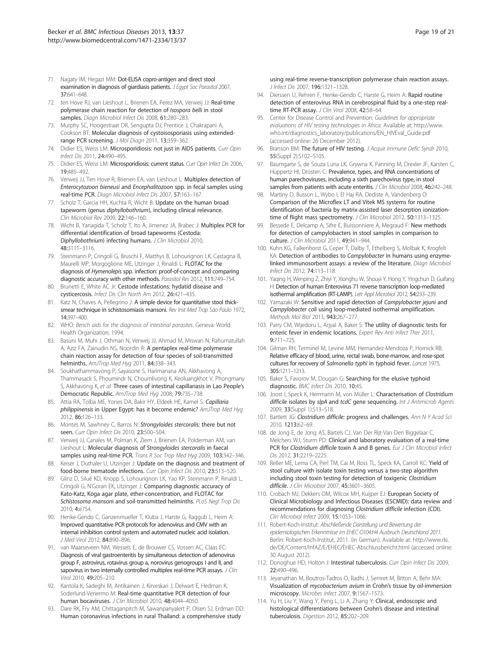- <span id="page-18-0"></span>71. Nagaty IM, Hegazi MM: Dot-ELISA copro-antigen and direct stool examination in diagnosis of giardiasis patients. J Egypt Soc Parasitol 2007, 37:641–648.
- 72. ten Hove RJ, van Lieshout L, Brienen EA, Perez MA, Verweij JJ: Real-time polymerase chain reaction for detection of Isospora belli in stool samples. Diagn Microbiol Infect Dis 2008, 61:280-283.
- 73. Murphy SC, Hoogestraat DR, Sengupta DJ, Prentice J, Chakrapani A, Cookson BT: Molecular diagnosis of cystoisosporiasis using extendedrange PCR screening. J Mol Diagn 2011, 13:359–362.
- 74. Didier ES, Weiss LM: Microsporidiosis: not just in AIDS patients. Curr Opin Infect Dis 2011, 24:490–495.
- 75. Didier ES, Weiss LM: Microsporidiosis: current status. Curr Opin Infect Dis 2006, 19:485–492.
- 76. Verweij JJ, Ten Hove R, Brienen EA, van Lieshout L: Multiplex detection of Enterocytozoon bieneusi and Encephalitozoon spp. in fecal samples using real-time PCR. Diagn Microbiol Infect Dis 2007, 57:163–167.
- 77. Scholz T, Garcia HH, Kuchta R, Wicht B: Update on the human broad tapeworm (genus diphyllobothrium), including clinical relevance. Clin Microbiol Rev 2009, 22:146–160.
- 78. Wicht B, Yanagida T, Scholz T, Ito A, Jimenez JA, Brabec J: Multiplex PCR for differential identification of broad tapeworms (Cestoda: Diphyllobothrium) infecting humans. J Clin Microbiol 2010, 48:3111–3116.
- 79. Steinmann P, Cringoli G, Bruschi F, Matthys B, Lohourignon LK, Castagna B, Maurelli MP, Morgoglione ME, Utzinger J, Rinaldi L: FLOTAC for the diagnosis of Hymenolepis spp. infection: proof-of-concept and comparing diagnostic accuracy with other methods. Parasitol Res 2012, 111:749–754.
- 80. Brunetti E, White AC Jr: Cestode infestations: hydatid disease and cysticercosis. Infect Dis Clin North Am 2012, 26:421–435.
- 81. Katz N, Chaves A, Pellegrino J: A simple device for quantitative stool thicksmear technique in schistosomiasis mansoni. Rev Inst Med Trop São Paulo 1972, 14:397–400.
- 82. WHO: Bench aids for the diagnosis of intestinal parasites. Geneva: World Health Organization; 1994.
- 83. Basuni M, Muhi J, Othman N, Verweij JJ, Ahmad M, Miswan N, Rahumatullah A, Aziz FA, Zainudin NS, Noordin R: A pentaplex real-time polymerase chain reaction assay for detection of four species of soil-transmitted helminths. AmJTrop Med Hyg 2011, 84:338-343.
- 84. Soukhathammavong P, Sayasone S, Harimanana AN, Akkhavong A, Thammasack S, Phoumindr N, Choumlivong K, Keoluangkhot V, Phongmany S, Akkhavong K, et al: Three cases of intestinal capillariasis in Lao People's Democratic Republic. AmJTrop Med Hyg 2008, 79:735–738.
- 85. Attia RA, Tolba ME, Yones DA, Bakir HY, Eldeek HE, Kamel S: Capillaria philippinensis in Upper Egypt: has it become endemic? AmJTrop Med Hyg 2012, 86:126–133.
- 86. Montes M, Sawhney C, Barros N: Strongyloides stercoralis: there but not seen. Curr Opin Infect Dis 2010, 23:500-504.
- 87. Verweij JJ, Canales M, Polman K, Ziem J, Brienen EA, Polderman AM, van Lieshout L: Molecular diagnosis of Strongyloides stercoralis in faecal samples using real-time PCR. Trans R Soc Trop Med Hyg 2009, 103:342-346.
- 88. Keiser J, Duthaler U, Utzinger J: Update on the diagnosis and treatment of food-borne trematode infections. Curr Opin Infect Dis 2010, 23:513–520.
- 89. Glinz D, Silué KD, Knopp S, Lohourignon LK, Yao KP, Steinmann P, Rinaldi L, Cringoli G, N'Goran EK, Utzinger J: Comparing diagnostic accuracy of Kato-Katz, Koga agar plate, ether-concentration, and FLOTAC for Schistosoma mansoni and soil-transmitted helminths. PLoS Negl Trop Dis 2010, 4:e754.
- 90. Henke-Gendo C, Ganzenmueller T, Kluba J, Harste G, Raggub L, Heim A: Improved quantitative PCR protocols for adenovirus and CMV with an internal inhibition control system and automated nucleic acid isolation. J Med Virol 2012, 84:890–896.
- 91. van Maarseveen NM, Wessels E, de Brouwer CS, Vossen AC, Claas EC: Diagnosis of viral gastroenteritis by simultaneous detection of adenovirus group F, astrovirus, rotavirus group a, norovirus genogroups I and II, and sapovirus in two internally controlled multiplex real-time PCR assays. J Clin Virol 2010, 49:205–210.
- 92. Kantola K, Sadeghi M, Antikainen J, Kirveskari J, Delwart E, Hedman K, Soderlund-Venermo M: Real-time quantitative PCR detection of four human bocaviruses. J Clin Microbiol 2010, 48:4044-4050.
- 93. Dare RK, Fry AM, Chittaganpitch M, Sawanpanyalert P, Olsen SJ, Erdman DD: Human coronavirus infections in rural Thailand: a comprehensive study

using real-time reverse-transcription polymerase chain reaction assays. J Infect Dis 2007, 196:1321–1328.

- 94. Dierssen U, Rehren F, Henke-Gendo C, Harste G, Heim A: Rapid routine detection of enterovirus RNA in cerebrospinal fluid by a one-step realtime RT-PCR assay. J Clin Virol 2008, 42:58–64.
- 95. Center for Disease Control and Prevention: Guidelines for appropriate evaluations of HIV testing technologies in Africa. Available at: [http://www.](http://www.who.int/diagnostics_laboratory/publications/EN_HIVEval_Guide.pdf) [who.int/diagnostics\\_laboratory/publications/EN\\_HIVEval\\_Guide.pdf](http://www.who.int/diagnostics_laboratory/publications/EN_HIVEval_Guide.pdf) (accessed online: 26 December 2012).
- 96. Branson BM: The future of HIV testing. J Acquir Immune Defic Syndr 2010, 55(Suppl 2):S102–S105.
- 97. Baumgarte S, de Souza Luna LK, Grywna K, Panning M, Drexler JF, Karsten C, Huppertz HI, Drosten C: Prevalence, types, and RNA concentrations of human parechoviruses, including a sixth parechovirus type, in stool samples from patients with acute enteritis. J Clin Microbiol 2008, 46:242-248.
- Martiny D, Busson L, Wybo I, El Haj RA, Dediste A, Vandenberg O: Comparison of the Microflex LT and Vitek MS systems for routine identification of bacteria by matrix-assisted laser desorption ionizationtime of flight mass spectrometry. J Clin Microbiol 2012, 50:1313-1325.
- 99. Bessede E, Delcamp A, Sifre E, Buissonniere A, Megraud F: New methods for detection of campylobacters in stool samples in comparison to culture. J Clin Microbiol 2011, 49:941–944.
- 100. Kuhn KG, Falkenhorst G, Ceper T, Dalby T, Ethelberg S, Molbak K, Krogfelt KA: Detection of antibodies to Campylobacter in humans using enzymelinked immunosorbent assays: a review of the literature. Diagn Microbiol Infect Dis 2012, 74:113–118.
- 101. Yaqing H, Wenping Z, Zhiyi Y, Xionghu W, Shouyi Y, Hong Y, Yingchun D, Guifang H: Detection of human Enterovirus 71 reverse transcription loop-mediated isothermal amplification (RT-LAMP). Lett Appl Microbiol 2012, 54:233–239.
- 102. Yamazaki W: Sensitive and rapid detection of Campylobacter jejuni and Campylobacter coli using loop-mediated isothermal amplification. Methods Mol Biol 2013, 943:267–277.
- 103. Parry CM, Wijedoru L, Arjyal A, Baker S: The utility of diagnostic tests for enteric fever in endemic locations. Expert Rev Anti Infect Ther 2011, 9:711–725.
- 104. Gilman RH, Terminel M, Levine MM, Hernandez-Mendoza P, Hornick RB: Relative efficacy of blood, urine, rectal swab, bone-marrow, and rose-spot cultures for recovery of Salmonella typhi in typhoid fever. Lancet 1975, 305:1211–1213.
- 105. Baker S, Favorov M, Dougan G: Searching for the elusive typhoid diagnostic. BMC Infect Dis 2010, 10:45.
- 106. Joost I, Speck K, Herrmann M, von Müller L: Characterisation of Clostridium difficile isolates by slpA and tcdC gene sequencing. Int J Antimicrob Agents 2009, 33(Suppl 1):S13–S18.
- 107. Bartlett JG: Clostridium difficile: progress and challenges. Ann N Y Acad Sci 2010, 1213:62–69.
- 108. de Jong E, de Jong AS, Bartels CJ, Van Der Rijt-Van Den Biggelaar C, Melchers WJ, Sturm PD: Clinical and laboratory evaluation of a real-time PCR for Clostridium difficile toxin A and B genes. Eur J Clin Microbiol Infect Dis 2012, 31:2219–2225.
- 109. Reller ME, Lema CA, Perl TM, Cai M, Ross TL, Speck KA, Carroll KC: Yield of stool culture with isolate toxin testing versus a two-step algorithm including stool toxin testing for detection of toxigenic Clostridium difficile. J Clin Microbiol 2007, 45:3601–3605.
- 110. Crobach MJ, Dekkers OM, Wilcox MH, Kuijper EJ: European Society of Clinical Microbiology and Infectious Diseases (ESCMID): data review and recommendations for diagnosing Clostridium difficile infection (CDI). Clin Microbiol Infect 2009, 15:1053–1066.
- 111. Robert-Koch-Institut: Abschließende Darstellung und Bewertung der epidemiologischen Erkenntnisse im EHEC O104:H4 Ausbruch Deutschland 2011. Berlin: Robert-Koch-Institut, 2011. (in German). Available at: [http://www.rki.](http://www.rki.de/DE/Content/InfAZ/E/EHEC/EHEC-Abschlussbericht.html) [de/DE/Content/InfAZ/E/EHEC/EHEC-Abschlussbericht.html](http://www.rki.de/DE/Content/InfAZ/E/EHEC/EHEC-Abschlussbericht.html) (accessed online: 30 August 2012).
- 112. Donoghue HD, Holton J: Intestinal tuberculosis. Curr Opin Infect Dis 2009, 22:490–496.
- 113. Jeyanathan M, Boutros-Tadros O, Radhi J, Semret M, Bitton A, Behr MA: Visualization of mycobacterium avium in Crohn's tissue by oil-immersion microscopy. Microbes Infect 2007, 9:1567–1573.
- 114. Yu H, Liu Y, Wang Y, Peng L, Li A, Zhang Y: Clinical, endoscopic and histological differentiations between Crohn's disease and intestinal tuberculosis. Digestion 2012, 85:202–209.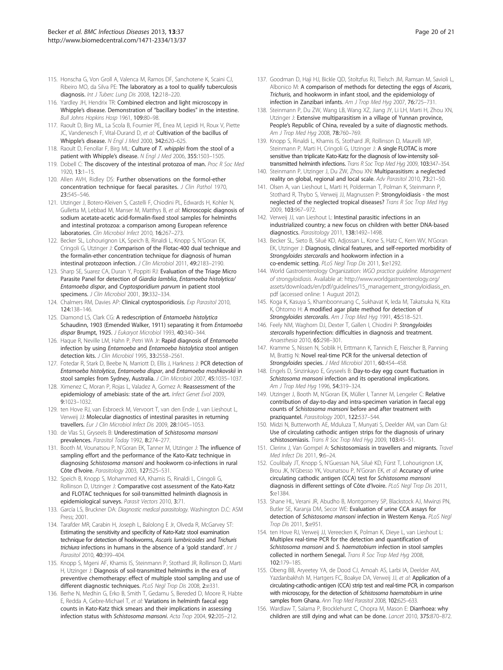- <span id="page-19-0"></span>115. Honscha G, Von Groll A, Valenca M, Ramos DF, Sanchotene K, Scaini CJ, Ribeiro MO, da Silva PE: The laboratory as a tool to qualify tuberculosis diagnosis. Int J Tuberc Lung Dis 2008, 12:218-220.
- 116. Yardley JH, Hendrix TR: Combined electron and light microscopy in Whipple's disease. Demonstration of "bacillary bodies" in the intestine. Bull Johns Hopkins Hosp 1961, 109:80–98.
- 117. Raoult D, Birg ML, La Scola B, Fournier PE, Enea M, Lepidi H, Roux V, Piette JC, Vandenesch F, Vital-Durand D, et al: Cultivation of the bacillus of Whipple's disease. N Engl J Med 2000, 342:620–625.
- 118. Raoult D, Fenollar F, Birg ML: Culture of T. whipplei from the stool of a patient with Whipple's disease. N Engl J Med 2006, 355:1503–1505.
- 119. Dobell C: The discovery of the intestinal protozoa of man. Proc R Soc Med 1920, 13:1–15.
- 120. Allen AVH, Ridley DS: Further observations on the formol-ether concentration technique for faecal parasites. J Clin Pathol 1970, 23:545–546.
- 121. Utzinger J, Botero-Kleiven S, Castelli F, Chiodini PL, Edwards H, Kohler N, Gulletta M, Lebbad M, Manser M, Matthys B, et al: Microscopic diagnosis of sodium acetate-acetic acid-formalin-fixed stool samples for helminths and intestinal protozoa: a comparison among European reference laboratories. Clin Microbiol Infect 2010, 16:267-273.
- 122. Becker SL, Lohourignon LK, Speich B, Rinaldi L, Knopp S, N'Goran EK, Cringoli G, Utzinger J: Comparison of the Flotac-400 dual technique and the formalin-ether concentration technique for diagnosis of human intestinal protozoon infection. J Clin Microbiol 2011, 49:2183–2190.
- 123. Sharp SE, Suarez CA, Duran Y, Poppiti RJ: Evaluation of the Triage Micro Parasite Panel for detection of Giardia lamblia, Entamoeba histolytica/ Entamoeba dispar, and Cryptosporidium parvum in patient stool specimens. J Clin Microbiol 2001, 39:332-334.
- 124. Chalmers RM, Davies AP: Clinical cryptosporidiosis. Exp Parasitol 2010, 124:138–146.
- 125. Diamond LS, Clark CG: A redescription of Entamoeba histolytica Schaudinn, 1903 (Emended Walker, 1911) separating it from Entamoeba dispar Brumpt, 1925. J Eukaryot Microbiol 1993, 40:340–344.
- 126. Haque R, Neville LM, Hahn P, Petri WA Jr: Rapid diagnosis of Entamoeba infection by using Entamoeba and Entamoeba histolytica stool antigen detection kits. J Clin Microbiol 1995, 33:2558-2561.
- 127. Fotedar R, Stark D, Beebe N, Marriott D, Ellis J, Harkness J: PCR detection of Entamoeba histolytica, Entamoeba dispar, and Entamoeba moshkovskii in stool samples from Sydney, Australia. J Clin Microbiol 2007, 45:1035-1037.
- 128. Ximenez C, Moran P, Rojas L, Valadez A, Gomez A: Reassessment of the epidemiology of amebiasis: state of the art. Infect Genet Evol 2009, 9:1023–1032.
- 129. ten Hove RJ, van Esbroeck M, Vervoort T, van den Ende J, van Lieshout L, Verweij JJ: Molecular diagnostics of intestinal parasites in returning travellers. Eur J Clin Microbiol Infect Dis 2009, 28:1045–1053.
- 130. de Vlas SJ, Gryseels B: Underestimation of Schistosoma mansoni prevalences. Parasitol Today 1992, 8:274–277.
- 131. Booth M, Vounatsou P, N'Goran EK, Tanner M, Utzinger J: The influence of sampling effort and the performance of the Kato-Katz technique in diagnosing Schistosoma mansoni and hookworm co-infections in rural Côte d'Ivoire. Parasitology 2003, 127:525–531.
- 132. Speich B, Knopp S, Mohammed KA, Khamis IS, Rinaldi L, Cringoli G, Rollinson D, Utzinger J: Comparative cost assessment of the Kato-Katz and FLOTAC techniques for soil-transmitted helminth diagnosis in epidemiological surveys. Parasit Vectors 2010, 3:71.
- 133. García LS, Bruckner DA: Diagnostic medical parasitology. Washington D.C: ASM Press; 2001.
- 134. Tarafder MR, Carabin H, Joseph L, Balolong E Jr, Olveda R, McGarvey ST: Estimating the sensitivity and specificity of Kato-Katz stool examination technique for detection of hookworms, Ascaris lumbricoides and Trichuris trichiura infections in humans in the absence of a 'gold standard'. Int J Parasitol 2010, 40:399–404.
- 135. Knopp S, Mgeni AF, Khamis IS, Steinmann P, Stothard JR, Rollinson D, Marti H, Utzinger J: Diagnosis of soil-transmitted helminths in the era of preventive chemotherapy: effect of multiple stool sampling and use of different diagnostic techniques. PLoS Negl Trop Dis 2008, 2:e331.
- 136. Berhe N, Medhin G, Erko B, Smith T, Gedamu S, Bereded D, Moore R, Habte E, Redda A, Gebre-Michael T, et al: Variations in helminth faecal egg counts in Kato-Katz thick smears and their implications in assessing infection status with Schistosoma mansoni. Acta Trop 2004, 92:205–212.
- 137. Goodman D, Haji HJ, Bickle QD, Stoltzfus RJ, Tielsch JM, Ramsan M, Savioli L, Albonico M: A comparison of methods for detecting the eggs of Ascaris, Trichuris, and hookworm in infant stool, and the epidemiology of infection in Zanzibari infants. Am J Trop Med Hyg 2007, 76:725–731.
- 138. Steinmann P, Du ZW, Wang LB, Wang XZ, Jiang JY, Li LH, Marti H, Zhou XN, Utzinger J: Extensive multiparasitism in a village of Yunnan province, People's Republic of China, revealed by a suite of diagnostic methods. Am J Trop Med Hyg 2008, 78:760-769.
- 139. Knopp S, Rinaldi L, Khamis IS, Stothard JR, Rollinson D, Maurelli MP, Steinmann P, Marti H, Cringoli G, Utzinger J: A single FLOTAC is more sensitive than triplicate Kato-Katz for the diagnosis of low-intensity soiltransmitted helminth infections. Trans R Soc Trop Med Hyg 2009, 103:347–354.
- 140. Steinmann P, Utzinger J, Du ZW, Zhou XN: Multiparasitism: a neglected reality on global, regional and local scale. Adv Parasitol 2010, 73:21–50.
- 141. Olsen A, van Lieshout L, Marti H, Polderman T, Polman K, Steinmann P, Stothard R, Thybo S, Verweij JJ, Magnussen P: Strongyloidiasis - the most neglected of the neglected tropical diseases? Trans R Soc Trop Med Hyg 2009, 103:967–972.
- 142. Verweij JJ, van Lieshout L: Intestinal parasitic infections in an industrialized country; a new focus on children with better DNA-based diagnostics. Parasitology 2011, 138:1492-1498.
- 143. Becker SL, Sieto B, Silué KD, Adjossan L, Kone S, Hatz C, Kern WV, N'Goran EK, Utzinger J: Diagnosis, clinical features, and self-reported morbidity of Strongyloides stercoralis and hookworm infection in a co-endemic setting. PLoS Negl Trop Dis 2011, 5:e1292.
- 144. World Gastroenterology Organization: WGO practice guideline. Management of strongyloidiasis. Available at: [http://www.worldgastroenterology.org/](http://www.worldgastroenterology.org/assets/downloads/en/pdf/guidelines/15_management_strongyloidiasis_en.pdf) [assets/downloads/en/pdf/guidelines/15\\_management\\_strongyloidiasis\\_en.](http://www.worldgastroenterology.org/assets/downloads/en/pdf/guidelines/15_management_strongyloidiasis_en.pdf) [pdf](http://www.worldgastroenterology.org/assets/downloads/en/pdf/guidelines/15_management_strongyloidiasis_en.pdf) (accessed online: 1 August 2012).
- 145. Koga K, Kasuya S, Khamboonruang C, Sukhavat K, Ieda M, Takatsuka N, Kita K, Ohtomo H: A modified agar plate method for detection of Strongyloides stercoralis. Am J Trop Med Hyg 1991, 45:518-521.
- 146. Feely NM, Waghorn DJ, Dexter T, Gallen I, Chiodini P: Strongyloides stercoralis hyperinfection: difficulties in diagnosis and treatment. Anaesthesia 2010, 65:298–301.
- 147. Kramme S, Nissen N, Soblik H, Erttmann K, Tannich E, Fleischer B, Panning M, Brattig N: Novel real-time PCR for the universal detection of Strongyloides species. J Med Microbiol 2011, 60:454-458.
- 148. Engels D, Sinzinkayo E, Gryseels B: Day-to-day egg count fluctuation in Schistosoma mansoni infection and its operational implications. Am J Trop Med Hyg 1996, 54:319-324.
- 149. Utzinger J, Booth M, N'Goran EK, Müller I, Tanner M, Lengeler C: Relative contribution of day-to-day and intra-specimen variation in faecal egg counts of Schistosoma mansoni before and after treatment with praziquantel. Parasitology 2001, 122:537–544.
- 150. Midzi N, Butterworth AE, Mduluza T, Munyati S, Deelder AM, van Dam GJ: Use of circulating cathodic antigen strips for the diagnosis of urinary schistosomiasis. Trans R Soc Trop Med Hyg 2009, 103:45–51.
- 151. Clerinx J, Van Gompel A: Schistosomiasis in travellers and migrants. Travel Med Infect Dis 2011, 9:6–24.
- 152. Coulibaly JT, Knopp S, N'Guessan NA, Silué KD, Fürst T, Lohourignon LK, Brou JK, N'Gbesso YK, Vounatsou P, N'Goran EK, et al: Accuracy of urine circulating cathodic antigen (CCA) test for Schistosoma mansoni diagnosis in different settings of Côte d'Ivoire. PLoS Negl Trop Dis 2011, 5:e1384.
- 153. Shane HL, Verani JR, Abudho B, Montgomery SP, Blackstock AJ, Mwinzi PN, Butler SE, Karanja DM, Secor WE: Evaluation of urine CCA assays for detection of Schistosoma mansoni infection in Western Kenya. PLoS Negl Trop Dis 2011, 5:e951.
- 154. ten Hove RJ, Verweij JJ, Vereecken K, Polman K, Dieye L, van Lieshout L: Multiplex real-time PCR for the detection and quantification of Schistosoma mansoni and S. haematobium infection in stool samples collected in northern Senegal. Trans R Soc Trop Med Hyg 2008, 102:179–185.
- 155. Obeng BB, Aryeetey YA, de Dood CJ, Amoah AS, Larbi IA, Deelder AM, Yazdanbakhsh M, Hartgers FC, Boakye DA, Verweij JJ, et al: Application of a circulating-cathodic-antigen (CCA) strip test and real-time PCR, in comparison with microscopy, for the detection of Schistosoma haematobium in urine samples from Ghana. Ann Trop Med Parasitol 2008, 102:625-633.
- 156. Wardlaw T, Salama P, Brocklehurst C, Chopra M, Mason E: Diarrhoea: why children are still dying and what can be done. Lancet 2010, 375:870–872.